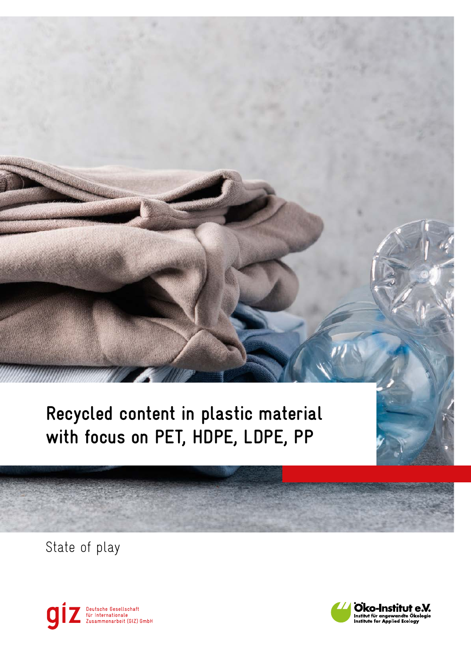**Recycled content in plastic material** with focus on PET, HDPE, LDPE, PP

State of play



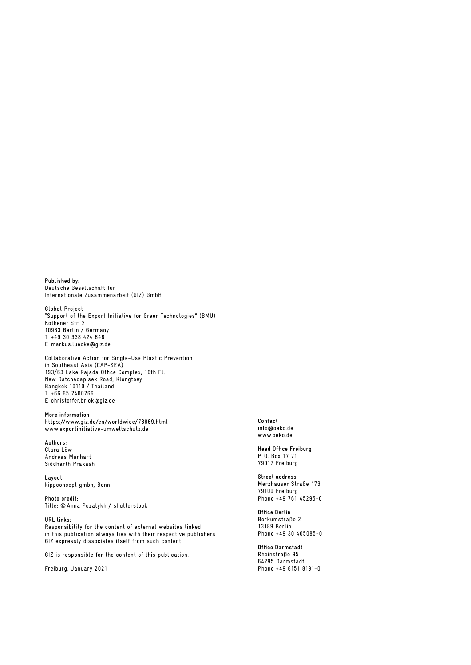**Published by:**  Deutsche Gesellschaft für Internationale Zusammenarbeit (GIZ) GmbH

Global Project "Support of the Export Initiative for Green Technologies" (BMU) Köthener Str. 2 10963 Berlin / Germany T +49 30 338 424 646 E [markus.luecke@giz.de](mailto:markus.luecke@giz.de)

Collaborative Action for Single-Use Plastic Prevention in Southeast Asia (CAP-SEA) 193/63 Lake Rajada Office Complex, 16th Fl. New Ratchadapisek Road, Klongtoey Bangkok 10110 / Thailand T +66 65 2400266 E [christoffer.brick@giz.de](mailto:christoffer.brick@giz.de)

**More information**  <https://www.giz.de/en/worldwide/78869.html> [www.exportinitiative-umweltschutz.de](https://www.exportinitiative-umweltschutz.de)

**Authors:** Clara Löw Andreas Manhart Siddharth Prakash

**Layout:** kippconcept gmbh, Bonn

**Photo credit:** Title: © Anna Puzatykh / shutterstock

**URL links:** Responsibility for the content of external websites linked in this publication always lies with their respective publishers. GIZ expressly dissociates itself from such content.

GIZ is responsible for the content of this publication.

Freiburg, January 2021

**Contact** [info@oeko.de](mailto:info@oeko.de) [www.oeko.de](https://www.oeko.de/)

**Head Office Freiburg** P. O. Box 17 71 79017 Freiburg

**Street address** Merzhauser Straße 173 79100 Freiburg Phone +49 761 45295-0

**Office Berlin** Borkumstraße 2 13189 Berlin Phone +49 30 405085-0

**Office Darmstadt** Rheinstraße 95 64295 Darmstadt Phone +49 6151 8191-0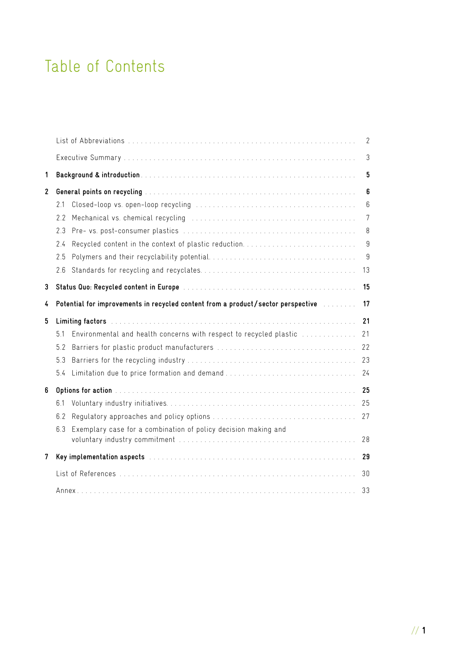## Table of Contents

|              |                                                                                                                                                                                                                               | 2              |
|--------------|-------------------------------------------------------------------------------------------------------------------------------------------------------------------------------------------------------------------------------|----------------|
|              |                                                                                                                                                                                                                               | $\mathfrak{Z}$ |
| 1            |                                                                                                                                                                                                                               | 5              |
| $\mathbf{2}$ |                                                                                                                                                                                                                               | 6              |
|              | 2.1                                                                                                                                                                                                                           | $6\,$          |
|              | 22                                                                                                                                                                                                                            | 7              |
|              | 2.3                                                                                                                                                                                                                           | $\, 8$         |
|              | 2.4                                                                                                                                                                                                                           | 9              |
|              | 2.5                                                                                                                                                                                                                           | 9              |
|              | 2.6                                                                                                                                                                                                                           | 13             |
| 3            |                                                                                                                                                                                                                               | 15             |
| 4            | Potential for improvements in recycled content from a product/sector perspective with the record                                                                                                                              |                |
| 5            | Limiting factors the contract of the contract of the contract of the contract of the contract of the contract of the contract of the contract of the contract of the contract of the contract of the contract of the contract | 21             |
|              | Environmental and health concerns with respect to recycled plastic<br>5.1                                                                                                                                                     | 21             |
|              | 5.2                                                                                                                                                                                                                           | 22             |
|              | 5.3                                                                                                                                                                                                                           | 23             |
|              | Limitation due to price formation and demand<br>5.4                                                                                                                                                                           | 24             |
| 6            |                                                                                                                                                                                                                               | 25             |
|              | 6.1                                                                                                                                                                                                                           | 25             |
|              | 6.2                                                                                                                                                                                                                           | 27             |
|              | Exemplary case for a combination of policy decision making and<br>6.3                                                                                                                                                         | 28             |
| 7            | Key implementation aspects (Allen and Allen and Allen and Allen and Allen and Allen and Allen and Allen and Al                                                                                                                | 29             |
|              |                                                                                                                                                                                                                               |                |
|              |                                                                                                                                                                                                                               | 30             |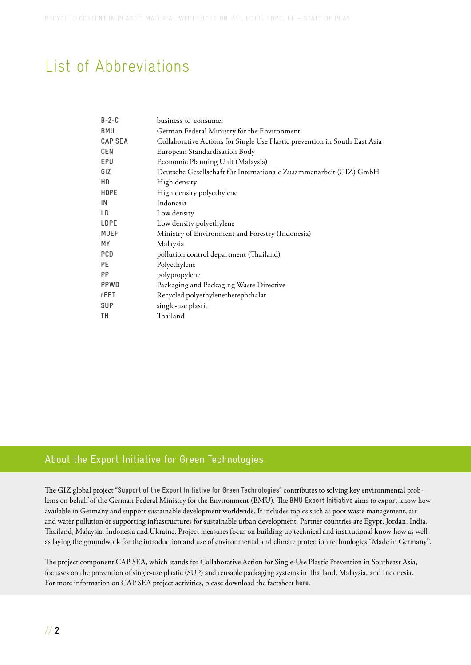## <span id="page-3-0"></span>List of Abbreviations

| $B - 2 - C$    | business-to-consumer                                                       |
|----------------|----------------------------------------------------------------------------|
| <b>BMU</b>     | German Federal Ministry for the Environment                                |
| <b>CAP SEA</b> | Collaborative Actions for Single Use Plastic prevention in South East Asia |
| <b>CEN</b>     | European Standardisation Body                                              |
| EPU            | Economic Planning Unit (Malaysia)                                          |
| GIZ            | Deutsche Gesellschaft für Internationale Zusammenarbeit (GIZ) GmbH         |
| HD             | High density                                                               |
| <b>HDPE</b>    | High density polyethylene                                                  |
| IN             | Indonesia                                                                  |
| LD             | Low density                                                                |
| <b>LDPE</b>    | Low density polyethylene                                                   |
| <b>MOEF</b>    | Ministry of Environment and Forestry (Indonesia)                           |
| МY             | Malaysia                                                                   |
| <b>PCD</b>     | pollution control department (Thailand)                                    |
| PE             | Polyethylene                                                               |
| <b>PP</b>      | polypropylene                                                              |
| PPWD           | Packaging and Packaging Waste Directive                                    |
| rPET           | Recycled polyethylenetherephthalat                                         |
| <b>SUP</b>     | single-use plastic                                                         |
| TΗ             | Thailand                                                                   |

### About the Export Initiative for Green Technologies

The GIZ global project **["Support of the Export Initiative for Green Technologies"](https://www.giz.de/en/worldwide/78869.html)** contributes to solving key environmental problems on behalf of the German Federal Ministry for the Environment (BMU). The **[BMU Export Initiative](https://www.exportinitiative-umweltschutz.de/de/exportinitiative-umwelttechnologien)** aims to export know-how available in Germany and support sustainable development worldwide. It includes topics such as poor waste management, air and water pollution or supporting infrastructures for sustainable urban development. Partner countries are Egypt, Jordan, India, Thailand, Malaysia, Indonesia and Ukraine. Project measures focus on building up technical and institutional know-how as well as laying the groundwork for the introduction and use of environmental and climate protection technologies "Made in Germany".

The project component CAP SEA, which stands for Collaborative Action for Single-Use Plastic Prevention in Southeast Asia, focusses on the prevention of single-use plastic (SUP) and reusable packaging systems in Thailand, Malaysia, and Indonesia. For more information on CAP SEA project activities, please download the factsheet **[here](https://www.giz.de/en/downloads/2021_FS_ExI_1_CAP%20SEA_EN_barrierefrei.pdf)**.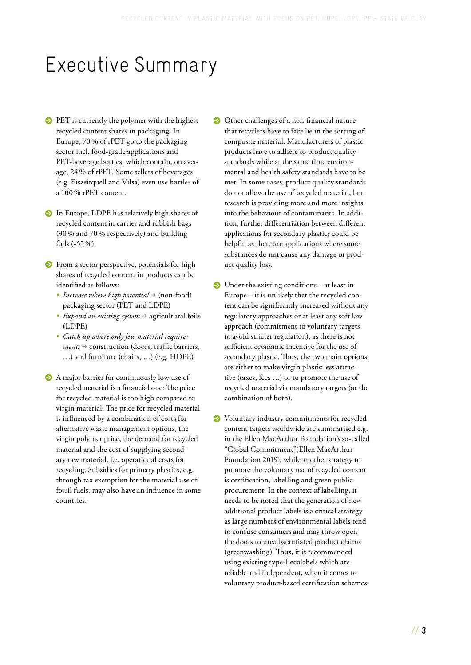## <span id="page-4-0"></span>Executive Summary

- **•** PET is currently the polymer with the highest recycled content shares in packaging. In Europe, 70 % of rPET go to the packaging sector incl. food-grade applications and PET-beverage bottles, which contain, on average, 24 % of rPET. Some sellers of beverages (e.g. Eiszeitquell and Vilsa) even use bottles of a 100 % rPET content.
- **•** In Europe, LDPE has relatively high shares of recycled content in carrier and rubbish bags (90 % and 70 % respectively) and building foils (~55 %).
- **•** From a sector perspective, potentials for high shares of recycled content in products can be identified as follows:
	- *Increase where high potential*  $\rightarrow$  (non-food) packaging sector (PET and LDPE)
	- *Expand an existing system*  $\rightarrow$  agricultural foils (LDPE)
	- *• Catch up where only few material require* $ments \rightarrow$  construction (doors, traffic barriers, …) and furniture (chairs, …) (e.g. HDPE)
- **•** A major barrier for continuously low use of recycled material is a financial one: The price for recycled material is too high compared to virgin material. The price for recycled material is influenced by a combination of costs for alternative waste management options, the virgin polymer price, the demand for recycled material and the cost of supplying secondary raw material, i.e. operational costs for recycling. Subsidies for primary plastics, e.g. through tax exemption for the material use of fossil fuels, may also have an influence in some countries.
- **•** Other challenges of a non-financial nature that recyclers have to face lie in the sorting of composite material. Manufacturers of plastic products have to adhere to product quality standards while at the same time environmental and health safety standards have to be met. In some cases, product quality standards do not allow the use of recycled material, but research is providing more and more insights into the behaviour of contaminants. In addition, further differentiation between different applications for secondary plastics could be helpful as there are applications where some substances do not cause any damage or product quality loss.
- **◯** Under the existing conditions at least in Europe – it is unlikely that the recycled content can be significantly increased without any regulatory approaches or at least any soft law approach (commitment to voluntary targets to avoid stricter regulation), as there is not sufficient economic incentive for the use of secondary plastic. Thus, the two main options are either to make virgin plastic less attractive (taxes, fees …) or to promote the use of recycled material via mandatory targets (or the combination of both).
- **•** Voluntary industry commitments for recycled content targets worldwide are summarised e.g. in the Ellen MacArthur Foundation's so-called "Global Commitment"(Ellen MacArthur Foundation 2019), while another strategy to promote the voluntary use of recycled content is certification, labelling and green public procurement. In the context of labelling, it needs to be noted that the generation of new additional product labels is a critical strategy as large numbers of environmental labels tend to confuse consumers and may throw open the doors to unsubstantiated product claims (greenwashing). Thus, it is recommended using existing type-I ecolabels which are reliable and independent, when it comes to voluntary product-based certification schemes.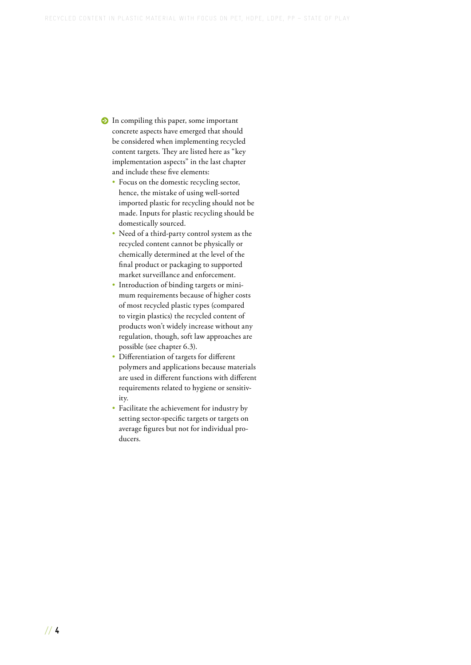- **•** In compiling this paper, some important concrete aspects have emerged that should be considered when implementing recycled content targets. They are listed here as "key implementation aspects" in the last chapter and include these five elements:
	- Focus on the domestic recycling sector, hence, the mistake of using well-sorted imported plastic for recycling should not be made. Inputs for plastic recycling should be domestically sourced.
	- Need of a third-party control system as the recycled content cannot be physically or chemically determined at the level of the final product or packaging to supported market surveillance and enforcement.
	- Introduction of binding targets or minimum requirements because of higher costs of most recycled plastic types (compared to virgin plastics) the recycled content of products won't widely increase without any regulation, though, soft law approaches are possible [\(see chapter 6.3\).](#page-29-0)
	- Differentiation of targets for different polymers and applications because materials are used in different functions with different requirements related to hygiene or sensitivity.
	- Facilitate the achievement for industry by setting sector-specific targets or targets on average figures but not for individual producers.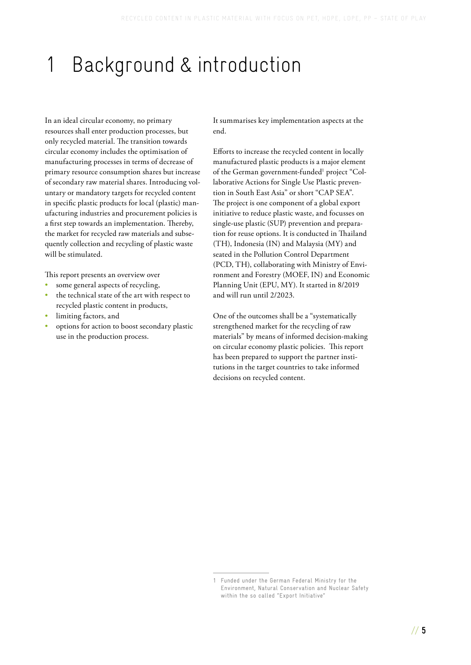# <span id="page-6-0"></span>1 Background & introduction

In an ideal circular economy, no primary resources shall enter production processes, but only recycled material. The transition towards circular economy includes the optimisation of manufacturing processes in terms of decrease of primary resource consumption shares but increase of secondary raw material shares. Introducing voluntary or mandatory targets for recycled content in specific plastic products for local (plastic) manufacturing industries and procurement policies is a first step towards an implementation. Thereby, the market for recycled raw materials and subsequently collection and recycling of plastic waste will be stimulated.

This report presents an overview over

- some general aspects of recycling,
- the technical state of the art with respect to recycled plastic content in products,
- limiting factors, and
- options for action to boost secondary plastic use in the production process.

It summarises key implementation aspects at the end.

Efforts to increase the recycled content in locally manufactured plastic products is a major element of the German government-funded<sup>1</sup> project "Collaborative Actions for Single Use Plastic prevention in South East Asia" or short "CAP SEA". The project is one component of a global export initiative to reduce plastic waste, and focusses on single-use plastic (SUP) prevention and preparation for reuse options. It is conducted in Thailand (TH), Indonesia (IN) and Malaysia (MY) and seated in the Pollution Control Department (PCD, TH), collaborating with Ministry of Environment and Forestry (MOEF, IN) and Economic Planning Unit (EPU, MY). It started in 8/2019 and will run until 2/2023.

One of the outcomes shall be a "systematically strengthened market for the recycling of raw materials" by means of informed decision-making on circular economy plastic policies. This report has been prepared to support the partner institutions in the target countries to take informed decisions on recycled content.

<sup>1</sup> Funded under the German Federal Ministry for the Environment, Natural Conservation and Nuclear Safety within the so called "Export Initiative"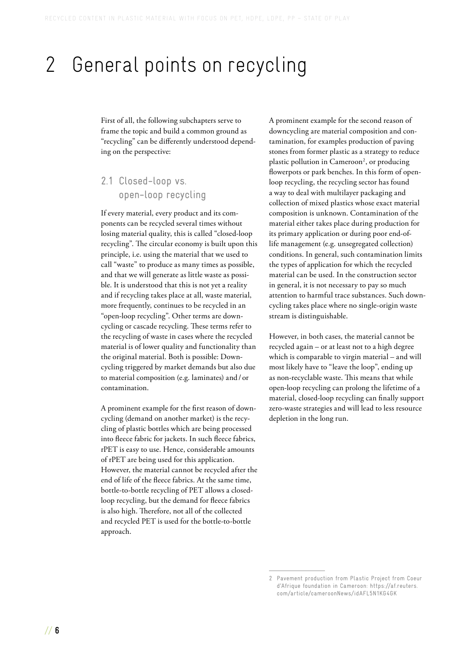## <span id="page-7-0"></span>2 General points on recycling

First of all, the following subchapters serve to frame the topic and build a common ground as "recycling" can be differently understood depending on the perspective:

2.1 Closed-loop vs. open-loop recycling

If every material, every product and its components can be recycled several times without losing material quality, this is called "closed-loop recycling". The circular economy is built upon this principle, i.e. using the material that we used to call "waste" to produce as many times as possible, and that we will generate as little waste as possible. It is understood that this is not yet a reality and if recycling takes place at all, waste material, more frequently, continues to be recycled in an "open-loop recycling". Other terms are downcycling or cascade recycling. These terms refer to the recycling of waste in cases where the recycled material is of lower quality and functionality than the original material. Both is possible: Downcycling triggered by market demands but also due to material composition (e.g. laminates) and / or contamination.

A prominent example for the first reason of downcycling (demand on another market) is the recycling of plastic bottles which are being processed into fleece fabric for jackets. In such fleece fabrics, rPET is easy to use. Hence, considerable amounts of rPET are being used for this application. However, the material cannot be recycled after the end of life of the fleece fabrics. At the same time, bottle-to-bottle recycling of PET allows a closedloop recycling, but the demand for fleece fabrics is also high. Therefore, not all of the collected and recycled PET is used for the bottle-to-bottle approach.

A prominent example for the second reason of downcycling are material composition and contamination, for examples production of paving stones from former plastic as a strategy to reduce plastic pollution in Cameroon<sup>[2](#page-8-0)</sup>, or producing flowerpots or park benches. In this form of openloop recycling, the recycling sector has found a way to deal with multilayer packaging and collection of mixed plastics whose exact material composition is unknown. Contamination of the material either takes place during production for its primary application or during poor end-oflife management (e.g. unsegregated collection) conditions. In general, such contamination limits the types of application for which the recycled material can be used. In the construction sector in general, it is not necessary to pay so much attention to harmful trace substances. Such downcycling takes place where no single-origin waste stream is distinguishable.

However, in both cases, the material cannot be recycled again – or at least not to a high degree which is comparable to virgin material – and will most likely have to "leave the loop", ending up as non-recyclable waste. This means that while open-loop recycling can prolong the lifetime of a material, closed-loop recycling can finally support zero-waste strategies and will lead to less resource depletion in the long run.

<sup>2</sup> Pavement production from Plastic Project from Coeur d'Afrique foundation in Cameroon: [https://af.reuters.](https://af.reuters.com/article/cameroonNews/idAFL5N1KG4GK) [com/article/cameroonNews/idAFL5N1KG4GK](https://af.reuters.com/article/cameroonNews/idAFL5N1KG4GK)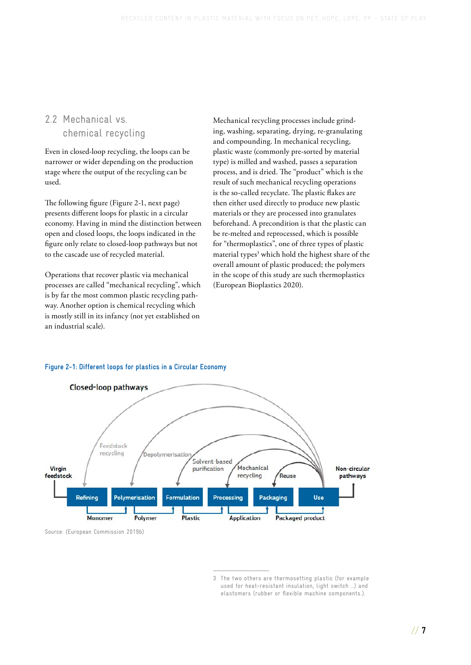### <span id="page-8-0"></span>2.2 Mechanical vs. chemical recycling

Even in closed-loop recycling, the loops can be narrower or wider depending on the production stage where the output of the recycling can be used.

The following figure (Figure 2-1, next page) presents different loops for plastic in a circular economy. Having in mind the distinction between open and closed loops, the loops indicated in the figure only relate to closed-loop pathways but not to the cascade use of recycled material.

Operations that recover plastic via mechanical processes are called "mechanical recycling", which is by far the most common plastic recycling pathway. Another option is chemical recycling which is mostly still in its infancy (not yet established on an industrial scale).

Mechanical recycling processes include grinding, washing, separating, drying, re-granulating and compounding. In mechanical recycling, plastic waste (commonly pre-sorted by material type) is milled and washed, passes a separation process, and is dried. The "product" which is the result of such mechanical recycling operations is the so-called recyclate. The plastic flakes are then either used directly to produce new plastic materials or they are processed into granulates beforehand. A precondition is that the plastic can be re-melted and reprocessed, which is possible for "thermoplastics", one of three types of plastic material types<sup>[3](#page-9-0)</sup> which hold the highest share of the overall amount of plastic produced; the polymers in the scope of this study are such thermoplastics (European Bioplastics 2020).



### **Figure 2-1: Different loops for plastics in a Circular Economy**

Source: (European Commission 2019b)

<sup>3</sup> The two others are thermosetting plastic (for example used for heat-resistant insulation, light switch …) and elastomers (rubber or flexible machine components.).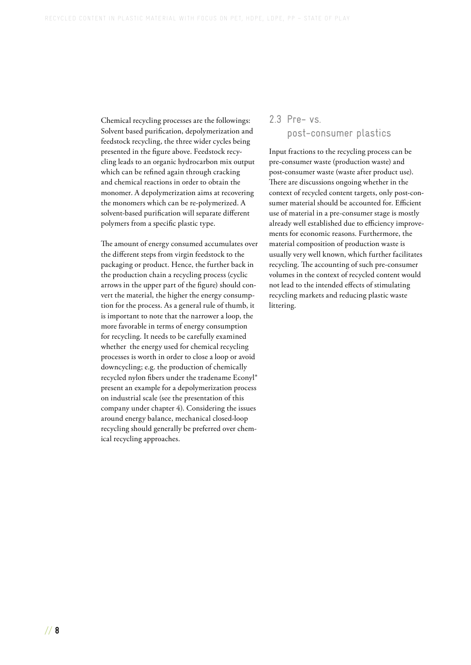<span id="page-9-0"></span>Chemical recycling processes are the followings: Solvent based purification, depolymerization and feedstock recycling, the three wider cycles being presented in the figure above. Feedstock recycling leads to an organic hydrocarbon mix output which can be refined again through cracking and chemical reactions in order to obtain the monomer. A depolymerization aims at recovering the monomers which can be re-polymerized. A solvent-based purification will separate different polymers from a specific plastic type.

The amount of energy consumed accumulates over the different steps from virgin feedstock to the packaging or product. Hence, the further back in the production chain a recycling process (cyclic arrows in the upper part of the figure) should convert the material, the higher the energy consumption for the process. As a general rule of thumb, it is important to note that the narrower a loop, the more favorable in terms of energy consumption for recycling. It needs to be carefully examined whether the energy used for chemical recycling processes is worth in order to close a loop or avoid downcycling; e.g. the production of chemically recycled nylon fibers under the tradename Econyl® present an example for a depolymerization process on industrial scale (see the presentation of this company under [chapter 4\).](#page-18-0) Considering the issues around energy balance, mechanical closed-loop recycling should generally be preferred over chemical recycling approaches.

### 2.3 Pre- vs. post-consumer plastics

Input fractions to the recycling process can be pre-consumer waste (production waste) and post-consumer waste (waste after product use). There are discussions ongoing whether in the context of recycled content targets, only post-consumer material should be accounted for. Efficient use of material in a pre-consumer stage is mostly already well established due to efficiency improvements for economic reasons. Furthermore, the material composition of production waste is usually very well known, which further facilitates recycling. The accounting of such pre-consumer volumes in the context of recycled content would not lead to the intended effects of stimulating recycling markets and reducing plastic waste littering.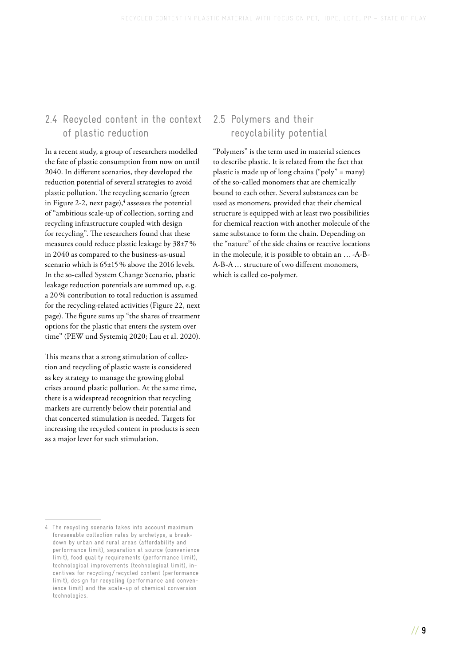## <span id="page-10-0"></span>2.4 Recycled content in the context of plastic reduction

In a recent study, a group of researchers modelled the fate of plastic consumption from now on until 2040. In different scenarios, they developed the reduction potential of several strategies to avoid plastic pollution. The recycling scenario (green in Figure 2-2, next page),<sup>[4](#page-11-0)</sup> assesses the potential of "ambitious scale-up of collection, sorting and recycling infrastructure coupled with design for recycling". The researchers found that these measures could reduce plastic leakage by 38±7 % in 2040 as compared to the business-as-usual scenario which is 65±15 % above the 2016 levels. In the so-called System Change Scenario, plastic leakage reduction potentials are summed up, e.g. a 20 % contribution to total reduction is assumed for the recycling-related activities (Figure 22, next page). The figure sums up "the shares of treatment options for the plastic that enters the system over time" (PEW und Systemiq 2020; Lau et al. 2020).

This means that a strong stimulation of collection and recycling of plastic waste is considered as key strategy to manage the growing global crises around plastic pollution. At the same time, there is a widespread recognition that recycling markets are currently below their potential and that concerted stimulation is needed. Targets for increasing the recycled content in products is seen as a major lever for such stimulation.

## 2.5 Polymers and their recyclability potential

"Polymers" is the term used in material sciences to describe plastic. It is related from the fact that plastic is made up of long chains ("poly" = many) of the so-called monomers that are chemically bound to each other. Several substances can be used as monomers, provided that their chemical structure is equipped with at least two possibilities for chemical reaction with another molecule of the same substance to form the chain. Depending on the "nature" of the side chains or reactive locations in the molecule, it is possible to obtain an … -A-B-A-B-A … structure of two different monomers, which is called co-polymer.

<sup>4</sup> The recycling scenario takes into account maximum foreseeable collection rates by archetype, a breakdown by urban and rural areas (affordability and performance limit), separation at source (convenience limit), food quality requirements (performance limit), technological improvements (technological limit), incentives for recycling / recycled content (performance limit), design for recycling (performance and convenience limit) and the scale-up of chemical conversion technologies.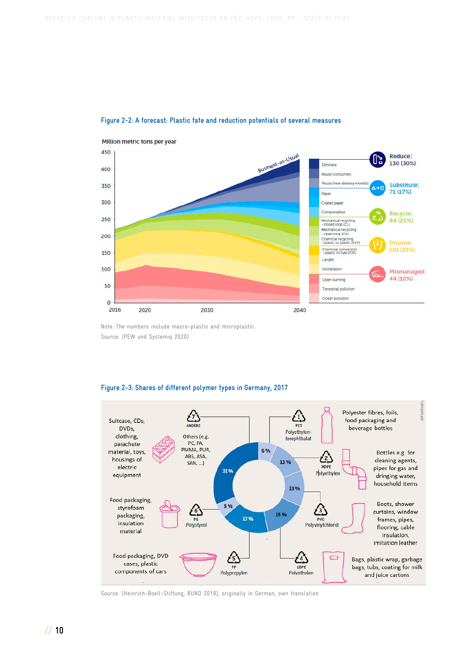

#### <span id="page-11-0"></span>**Figure 2-2: A forecast: Plastic fate and reduction potentials of several measures**

Note: The numbers include macro-plastic and microplastic. Source: (PEW und Systemiq 2020)

#### **Figure 2-3: Shares of different polymer types in Germany, 2017**



Source: (Heinrich-Boell-Stiftung; BUND 2019); originally in German, own translation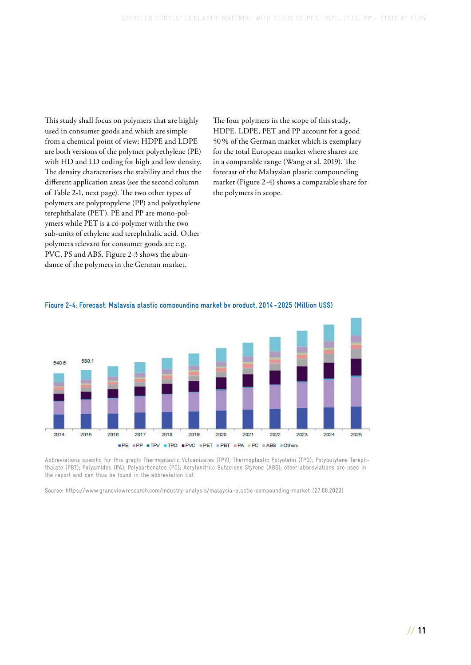This study shall focus on polymers that are highly used in consumer goods and which are simple from a chemical point of view: HDPE and LDPE are both versions of the polymer polyethylene (PE) with HD and LD coding for high and low density. The density characterises the stability and thus the [different application areas \(see the second column](#page-13-0) of Table 2-1, next page). The two other types of polymers are polypropylene (PP) and polyethylene terephthalate (PET). PE and PP are mono-polymers while PET is a co-polymer with the two sub-units of ethylene and terephthalic acid. Other polymers relevant for consumer goods are e.g. PVC, PS and ABS. [Figure 2-3](#page-11-0) shows the abundance of the polymers in the German market.

The four polymers in the scope of this study, HDPE, LDPE, PET and PP account for a good 50 % of the German market which is exemplary for the total European market where shares are in a comparable range (Wang et al. 2019). The forecast of the Malaysian plastic compounding market (Figure 2-4) shows a comparable share for the polymers in scope.



#### **Figure 2-4: Forecast: Malaysia plastic compounding market by product, 2014 - 2025 (Million US\$)**

Abbreviations specific for this graph: Thermoplastic Vulcanizates (TPV); Thermoplastic Polyolefin (TPO); Polybutylene Terephthalate (PBT); Polyamides (PA); Polycarbonates (PC); Acrylonitrile Butadiene Styrene (ABS); other abbreviations are used in the report and can thus be found in the abbreviation list.

Source: <https://www.grandviewresearch.com/industry-analysis/malaysia-plastic-compounding-market>(27.08.2020)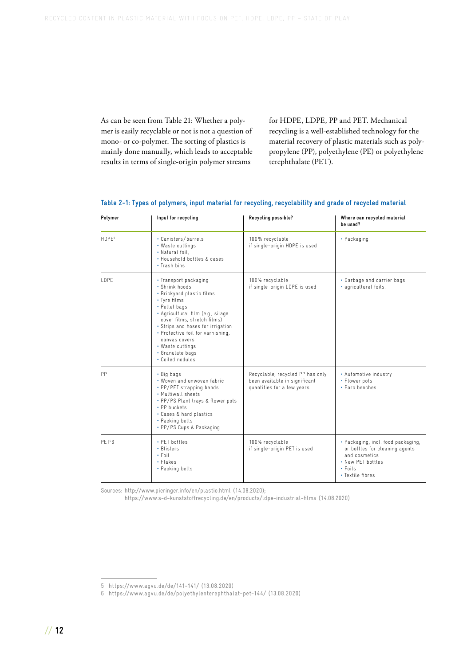<span id="page-13-0"></span>As can be seen from Table 21: Whether a polymer is easily recyclable or not is not a question of mono- or co-polymer. The sorting of plastics is mainly done manually, which leads to acceptable results in terms of single-origin polymer streams

for HDPE, LDPE, PP and PET. Mechanical recycling is a well-established technology for the material recovery of plastic materials such as polypropylene (PP), polyethylene (PE) or polyethylene terephthalate (PET).

| Polymer            | Input for recycling                                                                                                                                                                                                                                                                                                              | Recycling possible?                                                                             | Where can recycled material<br>be used?                                                                                                         |
|--------------------|----------------------------------------------------------------------------------------------------------------------------------------------------------------------------------------------------------------------------------------------------------------------------------------------------------------------------------|-------------------------------------------------------------------------------------------------|-------------------------------------------------------------------------------------------------------------------------------------------------|
| HDPE <sup>5</sup>  | • Canisters/barrels<br>• Waste cuttings<br>• Natural foil,<br>. Household bottles & cases<br>• Trash bins                                                                                                                                                                                                                        | 100% recyclable<br>if single-origin HDPE is used                                                | • Packaging                                                                                                                                     |
| <b>IDPF</b>        | • Transport packaging<br>• Shrink hoods<br>• Brickyard plastic films<br>• Tyre films<br>• Pellet bags<br>• Agricultural film (e.g., silage<br>cover films, stretch films)<br>• Strips and hoses for irrigation<br>• Protective foil for varnishing,<br>canvas covers<br>• Waste cuttings<br>• Granulate bags<br>• Coiled nodules | 100% recyclable<br>if single-origin LDPE is used                                                | • Garbage and carrier bags<br>• agricultural foils.                                                                                             |
| <b>PP</b>          | • Big bags<br>• Woven and unwovan fabric<br>• PP/PET strapping bands<br>. Multiwall sheets<br>• PP/PS Plant trays & flower pots<br>• PP buckets<br>• Cases & hard plastics<br>• Packing belts<br>• PP/PS Cups & Packaging                                                                                                        | Recyclable; recycled PP has only<br>been available in significant<br>quantities for a few years | • Automotive industry<br>• Flower pots<br>• Parc benches                                                                                        |
| PET <sup>6</sup> 6 | • PFT bottles<br>• Blisters<br>$\cdot$ Foil<br>• Flakes<br>• Packing belts                                                                                                                                                                                                                                                       | 100% recyclable<br>if single-origin PET is used                                                 | • Packaging, incl. food packaging,<br>or bottles for cleaning agents<br>and cosmetics<br>• New PET bottles<br>$\cdot$ Foils<br>• Textile fibres |

### **Table 2-1: Types of polymers, input material for recycling, recyclability and grade of recycled material**

Sources: <http://www.pieringer.info/en/plastic.html>(14.08.2020);

<https://www.s-d-kunststoffrecycling.de/en/products/ldpe-industrial-films>(14.08.2020)

<sup>5</sup> <https://www.agvu.de/de/141-141/>(13.08.2020)

<sup>6</sup> <https://www.agvu.de/de/polyethylenterephthalat-pet-144/> (13.08.2020)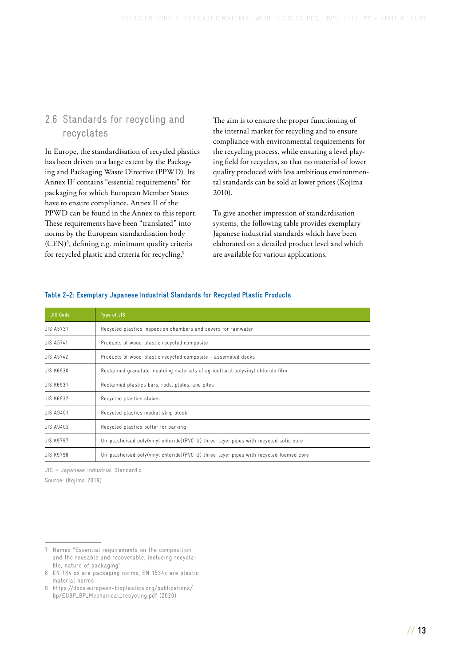## <span id="page-14-0"></span>2.6 Standards for recycling and recyclates

In Europe, the standardisation of recycled plastics has been driven to a large extent by the Packaging and Packaging Waste Directive (PPWD). Its Annex II[7](#page-15-0) contains "essential requirements" for packaging for which European Member States have to ensure compliance. Annex II of the PPWD can be found in the Annex to this report. These requirements have been "translated" into norms by the European standardisation body (CEN[\)8](#page-15-0) , defining e.g. minimum quality criteria for recycled plastic and criteria for recycling.<sup>9</sup>

The aim is to ensure the proper functioning of the internal market for recycling and to ensure compliance with environmental requirements for the recycling process, while ensuring a level playing field for recyclers, so that no material of lower quality produced with less ambitious environmental standards can be sold at lower prices (Kojima 2010).

To give another impression of standardisation systems, the following table provides exemplary Japanese industrial standards which have been elaborated on a detailed product level and which are available for various applications.

| <b>JIS Code</b>  | Type of JIS                                                                            |  |
|------------------|----------------------------------------------------------------------------------------|--|
| <b>JIS A5731</b> | Recycled plastics inspection chambers and covers for rainwater                         |  |
| <b>JIS A5741</b> | Products of wood-plastic recycled composite                                            |  |
| <b>JIS A5742</b> | Products of wood-plastic recycled composite - assembled decks                          |  |
| <b>JIS K6930</b> | Reclaimed granulate moulding materials of agricultural polyvinyl chloride film         |  |
| <b>JIS K6931</b> | Reclaimed plastics bars, rods, plates, and piles                                       |  |
| <b>JIS K6932</b> | Recycled plastics stakes                                                               |  |
| <b>JIS A9401</b> | Recycled plastics medial strip block                                                   |  |
| <b>JIS A9402</b> | Recycled plastics buffer for parking                                                   |  |
| <b>JIS K9797</b> | Un-plasticised poly(vinyl chloride)(PVC-U) three-layer pipes with recycled solid core  |  |
| JIS K9798        | Un-plasticised poly(vinyl chloride)(PVC-U) three-layer pipes with recycled foamed core |  |

### **Table 2-2: Exemplary Japanese Industrial Standards for Recycled Plastic Products**

JIS = Japanese Industrial Standard.c Source: (Kojima 2019)

<sup>7</sup> Named "Essential requirements on the composition and the reusable and recoverable, including recyclable, nature of packaging"

<sup>8</sup> EN 134 xx are packaging norms; EN 1534x are plastic material norms

<sup>9</sup> [https://docs.european-bioplastics.org/publications/](https://docs.european-bioplastics.org/publications/bp/EUBP_BP_Mechanical_recycling.pdf) [bp/EUBP\\_BP\\_Mechanical\\_recycling.pdf](https://docs.european-bioplastics.org/publications/bp/EUBP_BP_Mechanical_recycling.pdf) (2020)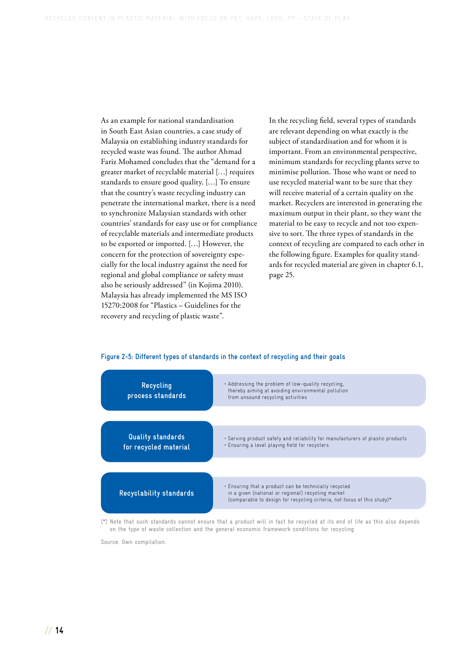<span id="page-15-0"></span>As an example for national standardisation in South East Asian countries, a case study of Malaysia on establishing industry standards for recycled waste was found. The author Ahmad Fariz Mohamed concludes that the "demand for a greater market of recyclable material […] requires standards to ensure good quality. […] To ensure that the country's waste recycling industry can penetrate the international market, there is a need to synchronize Malaysian standards with other countries' standards for easy use or for compliance of recyclable materials and intermediate products to be exported or imported. […] However, the concern for the protection of sovereignty especially for the local industry against the need for regional and global compliance or safety must also be seriously addressed" (in Kojima 2010). Malaysia has already implemented the MS ISO 15270:2008 for "Plastics – Guidelines for the recovery and recycling of plastic waste".

In the recycling field, several types of standards are relevant depending on what exactly is the subject of standardisation and for whom it is important. From an environmental perspective, minimum standards for recycling plants serve to minimise pollution. Those who want or need to use recycled material want to be sure that they will receive material of a certain quality on the market. Recyclers are interested in generating the maximum output in their plant, so they want the material to be easy to recycle and not too expensive to sort. The three types of standards in the context of recycling are compared to each other in the following figure. Examples for quality stand[ards for recycled material are given in chapter 6.1,](#page-26-0)  page 25.



#### **Figure 2-5: Different types of standards in the context of recycling and their goals**

(\*) Note that such standards cannot ensure that a product will in fact be recycled at its end of life as this also depends on the type of waste collection and the general economic framework conditions for recycling

Source: Own compilation.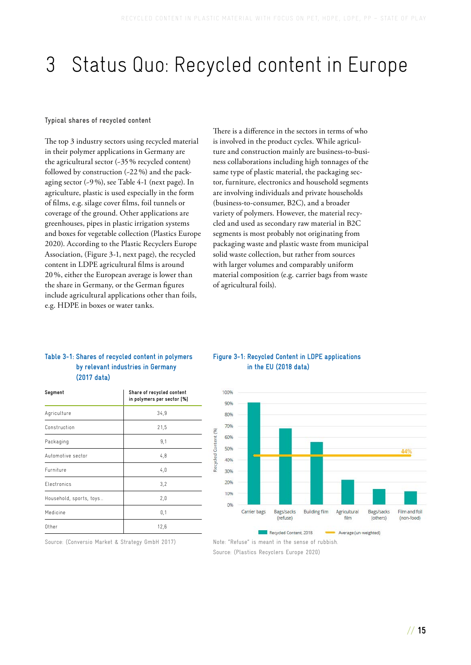# <span id="page-16-0"></span>3 Status Quo: Recycled content in Europe

### **Typical shares of recycled content**

The top 3 industry sectors using recycled material in their polymer applications in Germany are the agricultural sector (~35 % recycled content) followed by construction (~22 %) and the packaging sector (~9 %), [see Table 4-1 \(next page\).](#page-18-0) In agriculture, plastic is used especially in the form of films, e.g. silage cover films, foil tunnels or coverage of the ground. Other applications are greenhouses, pipes in plastic irrigation systems and boxes for vegetable collection (Plastics Europe 2020). According to the Plastic Recyclers Europe Association, (Figure 3-1, next page), the recycled content in LDPE agricultural films is around 20 %, either the European average is lower than the share in Germany, or the German figures include agricultural applications other than foils, e.g. HDPE in boxes or water tanks.

There is a difference in the sectors in terms of who is involved in the product cycles. While agriculture and construction mainly are business-to-business collaborations including high tonnages of the same type of plastic material, the packaging sector, furniture, electronics and household segments are involving individuals and private households (business-to-consumer, B2C), and a broader variety of polymers. However, the material recycled and used as secondary raw material in B2C segments is most probably not originating from packaging waste and plastic waste from municipal solid waste collection, but rather from sources with larger volumes and comparably uniform material composition (e.g. carrier bags from waste of agricultural foils).

### **Table 3-1: Shares of recycled content in polymers by relevant industries in Germany (2017 data)**

| Segment                 | Share of recycled content<br>in polymers per sector [%] |  |
|-------------------------|---------------------------------------------------------|--|
| Agriculture             | 34,9                                                    |  |
| Construction            | 21,5                                                    |  |
| Packaging               | 9,1                                                     |  |
| Automotive sector       | 4,8                                                     |  |
| Furniture               | 4,0                                                     |  |
| Electronics             | 3,2                                                     |  |
| Household, sports, toys | 2,0                                                     |  |
| Medicine                | 0,1                                                     |  |
| Other                   | 12,6                                                    |  |

Source: (Conversio Market & Strategy GmbH 2017)

### **Figure 3-1: Recycled Content in LDPE applications in the EU (2018 data)**



Note: "Refuse" is meant in the sense of rubbish.

Source: (Plastics Recyclers Europe 2020)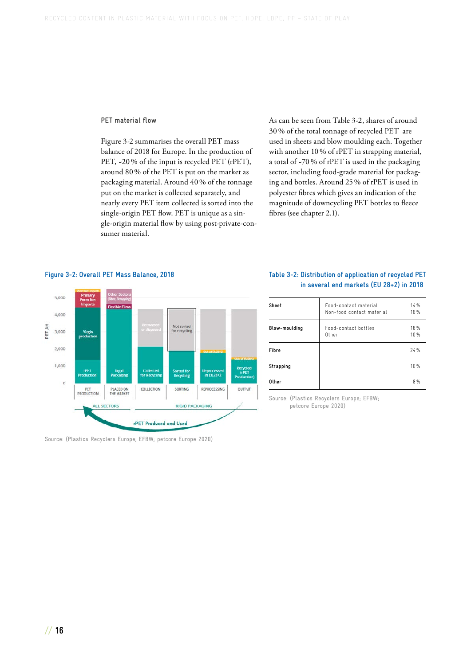### <span id="page-17-0"></span>**PET material flow**

Figure 3-2 summarises the overall PET mass balance of 2018 for Europe. In the production of PET, -20 % of the input is recycled PET (rPET), around 80 % of the PET is put on the market as packaging material. Around 40 % of the tonnage put on the market is collected separately, and nearly every PET item collected is sorted into the single-origin PET flow. PET is unique as a single-origin material flow by using post-private-consumer material.

As can be seen from Table 3-2, shares of around 30 % of the total tonnage of recycled PET are used in sheets and blow moulding each. Together with another 10 % of rPET in strapping material, a total of ~70 % of rPET is used in the packaging sector, including food-grade material for packaging and bottles. Around 25 % of rPET is used in polyester fibres which gives an indication of the magnitude of downcycling PET bottles to fleece fibres [\(see chapter 2.1\).](#page-7-0)



Source: (Plastics Recyclers Europe; EFBW; petcore Europe 2020)

### **Table 3-2: Distribution of application of recycled PET in several end markets (EU 28+2) in 2018**

| Sheet                | Food-contact material<br>Non-food contact material | 14%<br>16% |
|----------------------|----------------------------------------------------|------------|
| <b>Blow-moulding</b> | Food-contact bottles<br>Other                      | 18%<br>10% |
| Fibre                |                                                    | 74%        |
| Strapping            |                                                    | 10%        |
| Other                |                                                    | 8%         |
|                      |                                                    |            |

Source: (Plastics Recyclers Europe; EFBW; petcore Europe 2020)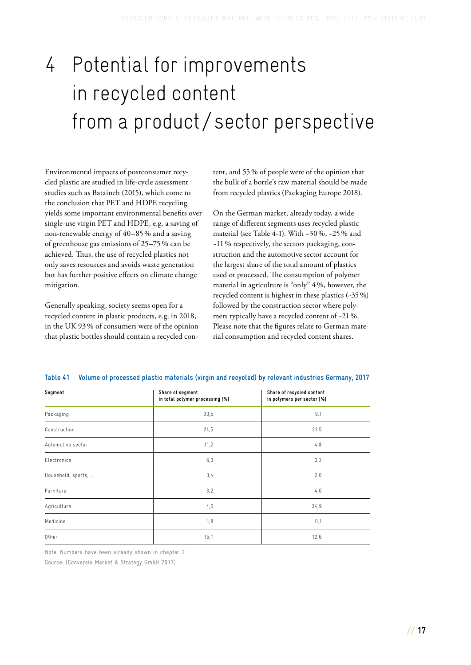# <span id="page-18-0"></span>4 Potential for improvements in recycled content from a product / sector perspective

Environmental impacts of postconsumer recycled plastic are studied in life-cycle assessment studies such as Bataineh (2015), which come to the conclusion that PET and HDPE recycling yields some important environmental benefits over single-use virgin PET and HDPE, e.g. a saving of non-renewable energy of 40–85 % and a saving of greenhouse gas emissions of 25–75 % can be achieved. Thus, the use of recycled plastics not only saves resources and avoids waste generation but has further positive effects on climate change mitigation.

Generally speaking, society seems open for a recycled content in plastic products, e.g. in 2018, in the UK 93 % of consumers were of the opinion that plastic bottles should contain a recycled con-

tent, and 55 % of people were of the opinion that the bulk of a bottle's raw material should be made from recycled plastics (Packaging Europe 2018).

On the German market, already today, a wide range of different segments uses recycled plastic material (see Table 4-1). With ~30 %, ~25 % and ~11 % respectively, the sectors packaging, construction and the automotive sector account for the largest share of the total amount of plastics used or processed. The consumption of polymer material in agriculture is "only" 4 %, however, the recycled content is highest in these plastics (~35 %) followed by the construction sector where polymers typically have a recycled content of ~21 %. Please note that the figures relate to German material consumption and recycled content shares.

| Segment            | Share of segment<br>in total polymer processing [%] | Share of recycled content<br>in polymers per sector [%] |
|--------------------|-----------------------------------------------------|---------------------------------------------------------|
| Packaging          | 30,5                                                | 9,1                                                     |
| Construction       | 24,5                                                | 21,5                                                    |
| Automotive sector  | 11,2                                                | 4,8                                                     |
| Electronics        | 6,3                                                 | 3,2                                                     |
| Household, sports, | 3,4                                                 | 2,0                                                     |
| Furniture          | 3,2                                                 | 4,0                                                     |
| Agriculture        | 4,0                                                 | 34,9                                                    |
| Medicine           | 1,8                                                 | 0,1                                                     |
| Other              | 15,1                                                | 12,6                                                    |

**Table 41 Volume of processed plastic materials (virgin and recycled) by relevant industries Germany, 2017**

Note: Numbers have been already shown in [chapter 2.](#page-7-0)

Source: (Conversio Market & Strategy GmbH 2017)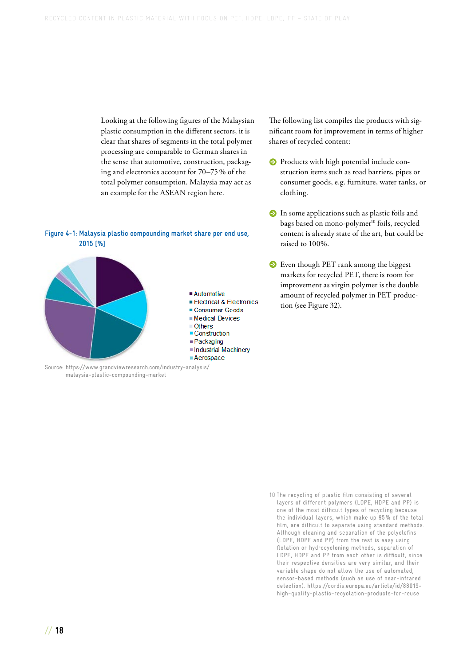Looking at the following figures of the Malaysian plastic consumption in the different sectors, it is clear that shares of segments in the total polymer processing are comparable to German shares in the sense that automotive, construction, packaging and electronics account for 70–75 % of the total polymer consumption. Malaysia may act as an example for the ASEAN region here.

#### **Figure 4-1: Malaysia plastic compounding market share per end use, 2015 [%]**



Source: [https://www.grandviewresearch.com/industry-analysis/](https://www.grandviewresearch.com/industry-analysis/malaysia-plastic-compounding-market) [malaysia-plastic-compounding-market](https://www.grandviewresearch.com/industry-analysis/malaysia-plastic-compounding-market)

The following list compiles the products with significant room for improvement in terms of higher shares of recycled content:

- **•** Products with high potential include construction items such as road barriers, pipes or consumer goods, e.g. furniture, water tanks, or clothing.
- **•** In some applications such as plastic foils and bags based on mono-polymer<sup>10</sup> foils, recycled content is already state of the art, but could be raised to 100%.
- **Even though PET rank among the biggest** markets for recycled PET, there is room for improvement as virgin polymer is the double amount of recycled polymer in PET production [\(see Figure 32\).](#page-17-0)

<sup>10</sup> The recycling of plastic film consisting of several layers of different polymers (LDPE, HDPE and PP) is one of the most difficult types of recycling because the individual layers, which make up 95 % of the total film, are difficult to separate using standard methods. Although cleaning and separation of the polyolefins (LDPE, HDPE and PP) from the rest is easy using flotation or hydrocycloning methods, separation of LDPE, HDPE and PP from each other is difficult, since their respective densities are very similar, and their variable shape do not allow the use of automated, sensor-based methods (such as use of near-infrared detection). [https://cordis.europa.eu/article/id/88019](https://cordis.europa.eu/article/id/88019-high-quality-plastic-recyclation-products-for-reuse) [high-quality-plastic-recyclation-products-for-reuse](https://cordis.europa.eu/article/id/88019-high-quality-plastic-recyclation-products-for-reuse)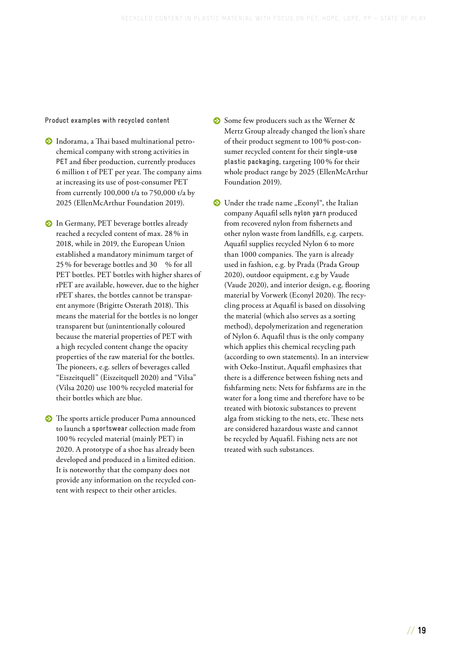**Product examples with recycled content**

- **ˤ** Indorama, a Thai based multinational petrochemical company with strong activities in **PET** and fiber production, currently produces 6 million t of PET per year. The company aims at increasing its use of post-consumer PET from currently 100,000 t/a to 750,000 t/a by 2025 (EllenMcArthur Foundation 2019).
- **S** In Germany, PET beverage bottles already reached a recycled content of max. 28 % in 2018, while in 2019, the European Union established a mandatory minimum target of 25 % for beverage bottles and 30 % for all PET bottles. PET bottles with higher shares of rPET are available, however, due to the higher rPET shares, the bottles cannot be transparent anymore (Brigitte Osterath 2018). This means the material for the bottles is no longer transparent but (unintentionally coloured because the material properties of PET with a high recycled content change the opacity properties of the raw material for the bottles. The pioneers, e.g. sellers of beverages called "Eiszeitquell" (Eiszeitquell 2020) and "Vilsa" (Vilsa 2020) use 100 % recycled material for their bottles which are blue.
- **•** The sports article producer Puma announced to launch a **sportswear** collection made from 100 % recycled material (mainly PET) in 2020. A prototype of a shoe has already been developed and produced in a limited edition. It is noteworthy that the company does not provide any information on the recycled content with respect to their other articles.
- **Some few producers such as the Werner &** Mertz Group already changed the lion's share of their product segment to 100 % post-consumer recycled content for their **single-use plastic packaging**, targeting 100 % for their whole product range by 2025 (EllenMcArthur Foundation 2019).
- **EXECUTE:** Under the trade name "Econyl", the Italian company Aquafil sells **nylon yarn** produced from recovered nylon from fishernets and other nylon waste from landfills, e.g. carpets. Aquafil supplies recycled Nylon 6 to more than 1000 companies. The yarn is already used in fashion, e.g. by Prada (Prada Group 2020), outdoor equipment, e.g by Vaude (Vaude 2020), and interior design, e.g. flooring material by Vorwerk (Econyl 2020). The recycling process at Aquafil is based on dissolving the material (which also serves as a sorting method), depolymerization and regeneration of Nylon 6. Aquafil thus is the only company which applies this chemical recycling path (according to own statements). In an interview with Oeko-Institut, Aquafil emphasizes that there is a difference between fishing nets and fishfarming nets: Nets for fishfarms are in the water for a long time and therefore have to be treated with biotoxic substances to prevent alga from sticking to the nets, etc. These nets are considered hazardous waste and cannot be recycled by Aquafil. Fishing nets are not treated with such substances.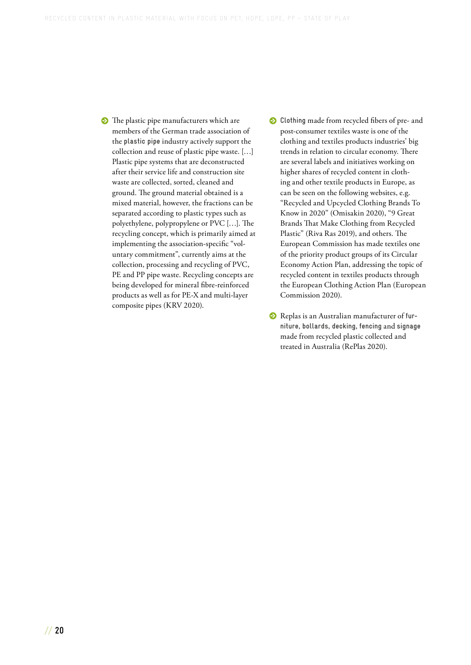**•** The plastic pipe manufacturers which are members of the German trade association of the **plastic pipe** industry actively support the collection and reuse of plastic pipe waste. […] Plastic pipe systems that are deconstructed after their service life and construction site waste are collected, sorted, cleaned and ground. The ground material obtained is a mixed material, however, the fractions can be separated according to plastic types such as polyethylene, polypropylene or PVC […]. The recycling concept, which is primarily aimed at implementing the association-specific "voluntary commitment", currently aims at the collection, processing and recycling of PVC, PE and PP pipe waste. Recycling concepts are being developed for mineral fibre-reinforced products as well as for PE-X and multi-layer composite pipes (KRV 2020).

- **•** Clothing made from recycled fibers of pre- and post-consumer textiles waste is one of the clothing and textiles products industries' big trends in relation to circular economy. There are several labels and initiatives working on higher shares of recycled content in clothing and other textile products in Europe, as can be seen on the following websites, e.g. "Recycled and Upcycled Clothing Brands To Know in 2020" (Omisakin 2020), "9 Great Brands That Make Clothing from Recycled Plastic" (Riva Ras 2019), and others. The European Commission has made textiles one of the priority product groups of its Circular Economy Action Plan, addressing the topic of recycled content in textiles products through the European Clothing Action Plan (European Commission 2020).
- **8** Replas is an Australian manufacturer of fur**niture**, **bollards**, **decking**, **fencing** and **signage** made from recycled plastic collected and treated in Australia (RePlas 2020).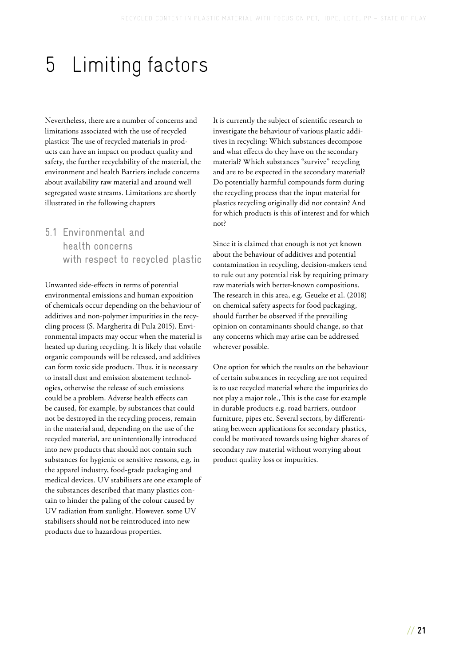## <span id="page-22-0"></span>5 Limiting factors

Nevertheless, there are a number of concerns and limitations associated with the use of recycled plastics: The use of recycled materials in products can have an impact on product quality and safety, the further recyclability of the material, the environment and health Barriers include concerns about availability raw material and around well segregated waste streams. Limitations are shortly illustrated in the following chapters

5.1 Environmental and health concerns with respect to recycled plastic

Unwanted side-effects in terms of potential environmental emissions and human exposition of chemicals occur depending on the behaviour of additives and non-polymer impurities in the recycling process (S. Margherita di Pula 2015). Environmental impacts may occur when the material is heated up during recycling. It is likely that volatile organic compounds will be released, and additives can form toxic side products. Thus, it is necessary to install dust and emission abatement technologies, otherwise the release of such emissions could be a problem. Adverse health effects can be caused, for example, by substances that could not be destroyed in the recycling process, remain in the material and, depending on the use of the recycled material, are unintentionally introduced into new products that should not contain such substances for hygienic or sensitive reasons, e.g. in the apparel industry, food-grade packaging and medical devices. UV stabilisers are one example of the substances described that many plastics contain to hinder the paling of the colour caused by UV radiation from sunlight. However, some UV stabilisers should not be reintroduced into new products due to hazardous properties.

It is currently the subject of scientific research to investigate the behaviour of various plastic additives in recycling: Which substances decompose and what effects do they have on the secondary material? Which substances "survive" recycling and are to be expected in the secondary material? Do potentially harmful compounds form during the recycling process that the input material for plastics recycling originally did not contain? And for which products is this of interest and for which not?

Since it is claimed that enough is not yet known about the behaviour of additives and potential contamination in recycling, decision-makers tend to rule out any potential risk by requiring primary raw materials with better-known compositions. The research in this area, e.g. Geueke et al. (2018) on chemical safety aspects for food packaging, should further be observed if the prevailing opinion on contaminants should change, so that any concerns which may arise can be addressed wherever possible.

One option for which the results on the behaviour of certain substances in recycling are not required is to use recycled material where the impurities do not play a major role., This is the case for example in durable products e.g. road barriers, outdoor furniture, pipes etc. Several sectors, by differentiating between applications for secondary plastics, could be motivated towards using higher shares of secondary raw material without worrying about product quality loss or impurities.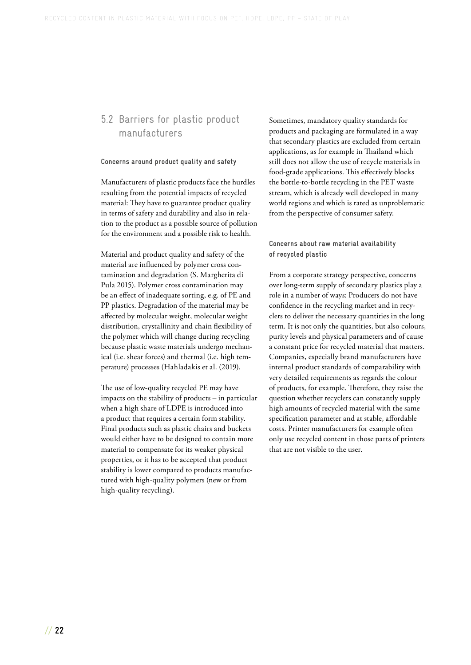## <span id="page-23-0"></span>5.2 Barriers for plastic product manufacturers

### **Concerns around product quality and safety**

Manufacturers of plastic products face the hurdles resulting from the potential impacts of recycled material: They have to guarantee product quality in terms of safety and durability and also in relation to the product as a possible source of pollution for the environment and a possible risk to health.

Material and product quality and safety of the material are influenced by polymer cross contamination and degradation (S. Margherita di Pula 2015). Polymer cross contamination may be an effect of inadequate sorting, e.g. of PE and PP plastics. Degradation of the material may be affected by molecular weight, molecular weight distribution, crystallinity and chain flexibility of the polymer which will change during recycling because plastic waste materials undergo mechanical (i.e. shear forces) and thermal (i.e. high temperature) processes (Hahladakis et al. (2019).

The use of low-quality recycled PE may have impacts on the stability of products – in particular when a high share of LDPE is introduced into a product that requires a certain form stability. Final products such as plastic chairs and buckets would either have to be designed to contain more material to compensate for its weaker physical properties, or it has to be accepted that product stability is lower compared to products manufactured with high-quality polymers (new or from high-quality recycling).

Sometimes, mandatory quality standards for products and packaging are formulated in a way that secondary plastics are excluded from certain applications, as for example in Thailand which still does not allow the use of recycle materials in food-grade applications. This effectively blocks the bottle-to-bottle recycling in the PET waste stream, which is already well developed in many world regions and which is rated as unproblematic from the perspective of consumer safety.

### **Concerns about raw material availability of recycled plastic**

From a corporate strategy perspective, concerns over long-term supply of secondary plastics play a role in a number of ways: Producers do not have confidence in the recycling market and in recyclers to deliver the necessary quantities in the long term. It is not only the quantities, but also colours, purity levels and physical parameters and of cause a constant price for recycled material that matters. Companies, especially brand manufacturers have internal product standards of comparability with very detailed requirements as regards the colour of products, for example. Therefore, they raise the question whether recyclers can constantly supply high amounts of recycled material with the same specification parameter and at stable, affordable costs. Printer manufacturers for example often only use recycled content in those parts of printers that are not visible to the user.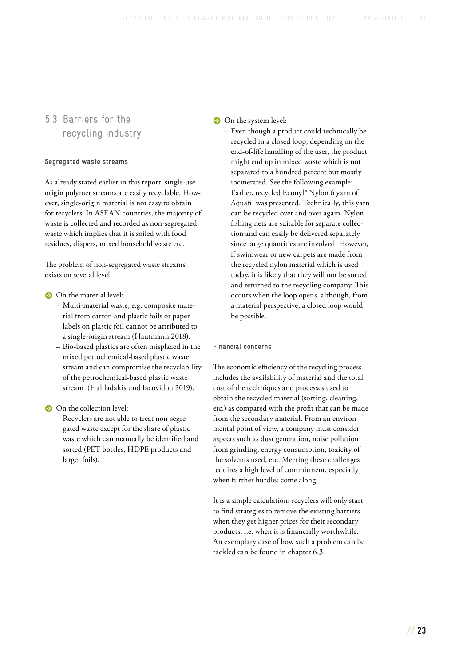## <span id="page-24-0"></span>5.3 Barriers for the recycling industry

### **Segregated waste streams**

As already stated earlier in this report, single-use origin polymer streams are easily recyclable. However, single-origin material is not easy to obtain for recyclers. In ASEAN countries, the majority of waste is collected and recorded as non-segregated waste which implies that it is soiled with food residues, diapers, mixed household waste etc.

The problem of non-segregated waste streams exists on several level:

### **•** On the material level:

- Multi-material waste, e.g. composite material from carton and plastic foils or paper labels on plastic foil cannot be attributed to a single-origin stream (Hautmann 2018).
- Bio-based plastics are often misplaced in the mixed petrochemical-based plastic waste stream and can compromise the recyclability of the petrochemical-based plastic waste stream (Hahladakis und Iacovidou 2019).

**•** On the collection level:

– Recyclers are not able to treat non-segregated waste except for the share of plastic waste which can manually be identified and sorted (PET bottles, HDPE products and larger foils).

### **•** On the system level:

– Even though a product could technically be recycled in a closed loop, depending on the end-of-life handling of the user, the product might end up in mixed waste which is not separated to a hundred percent but mostly incinerated. See the following example: Earlier, recycled Econyl® Nylon 6 yarn of Aquafil was presented. Technically, this yarn can be recycled over and over again. Nylon fishing nets are suitable for separate collection and can easily be delivered separately since large quantities are involved. However, if swimwear or new carpets are made from the recycled nylon material which is used today, it is likely that they will not be sorted and returned to the recycling company. This occurs when the loop opens, although, from a material perspective, a closed loop would be possible.

### **Financial concerns**

The economic efficiency of the recycling process includes the availability of material and the total cost of the techniques and processes used to obtain the recycled material (sorting, cleaning, etc.) as compared with the profit that can be made from the secondary material. From an environmental point of view, a company must consider aspects such as dust generation, noise pollution from grinding, energy consumption, toxicity of the solvents used, etc. Meeting these challenges requires a high level of commitment, especially when further hurdles come along.

It is a simple calculation: recyclers will only start to find strategies to remove the existing barriers when they get higher prices for their secondary products, i.e. when it is financially worthwhile. An exemplary case of how such a problem can be tackled can be found in [chapter 6.3.](#page-29-0)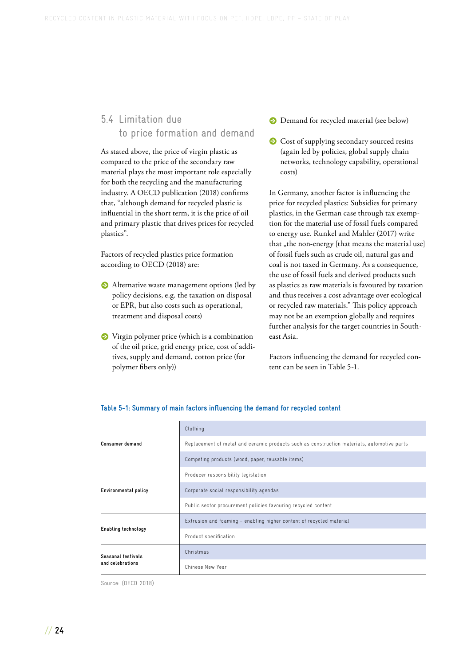## <span id="page-25-0"></span>5.4 Limitation due to price formation and demand

As stated above, the price of virgin plastic as compared to the price of the secondary raw material plays the most important role especially for both the recycling and the manufacturing industry. A OECD publication (2018) confirms that, "although demand for recycled plastic is influential in the short term, it is the price of oil and primary plastic that drives prices for recycled plastics".

Factors of recycled plastics price formation according to OECD (2018) are:

- **•** Alternative waste management options (led by policy decisions, e.g. the taxation on disposal or EPR, but also costs such as operational, treatment and disposal costs)
- **S** Virgin polymer price (which is a combination of the oil price, grid energy price, cost of additives, supply and demand, cotton price (for polymer fibers only))
- **•** Demand for recycled material (see below)
- **•** Cost of supplying secondary sourced resins (again led by policies, global supply chain networks, technology capability, operational costs)

In Germany, another factor is influencing the price for recycled plastics: Subsidies for primary plastics, in the German case through tax exemption for the material use of fossil fuels compared to energy use. Runkel and Mahler (2017) write that "the non-energy [that means the material use] of fossil fuels such as crude oil, natural gas and coal is not taxed in Germany. As a consequence, the use of fossil fuels and derived products such as plastics as raw materials is favoured by taxation and thus receives a cost advantage over ecological or recycled raw materials." This policy approach may not be an exemption globally and requires further analysis for the target countries in Southeast Asia.

Factors influencing the demand for recycled content can be seen in Table 5-1.

|                      | Clothing                                                                                   |
|----------------------|--------------------------------------------------------------------------------------------|
| Consumer demand      | Replacement of metal and ceramic products such as construction materials, automotive parts |
|                      | Competing products (wood, paper, reusable items)                                           |
|                      | Producer responsibility legislation                                                        |
| Environmental policy | Corporate social responsibility agendas                                                    |
|                      | Public sector procurement policies favouring recycled content                              |
|                      | Extrusion and foaming - enabling higher content of recycled material                       |
| Enabling technology  | Product specification                                                                      |
| Seasonal festivals   | Christmas                                                                                  |
| and celebrations     | Chinese New Year                                                                           |

#### **Table 5-1: Summary of main factors influencing the demand for recycled content**

Source: (OECD 2018)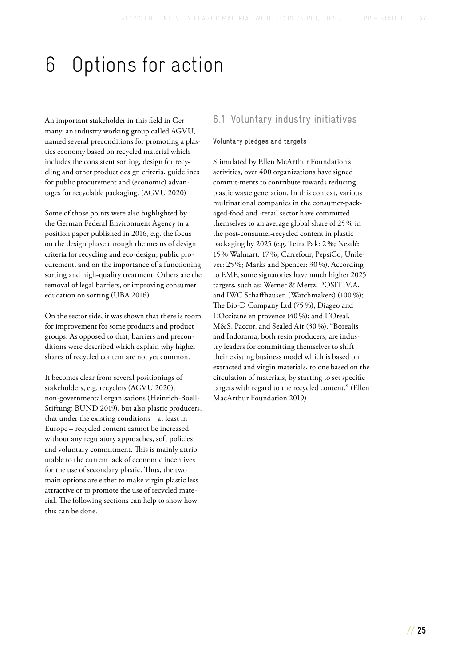# <span id="page-26-0"></span>6 Options for action

An important stakeholder in this field in Germany, an industry working group called AGVU, named several preconditions for promoting a plastics economy based on recycled material which includes the consistent sorting, design for recycling and other product design criteria, guidelines for public procurement and (economic) advantages for recyclable packaging. (AGVU 2020)

Some of those points were also highlighted by the German Federal Environment Agency in a position paper published in 2016, e.g. the focus on the design phase through the means of design criteria for recycling and eco-design, public procurement, and on the importance of a functioning sorting and high-quality treatment. Others are the removal of legal barriers, or improving consumer education on sorting (UBA 2016).

On the sector side, it was shown that there is room for improvement for some products and product groups. As opposed to that, barriers and preconditions were described which explain why higher shares of recycled content are not yet common.

It becomes clear from several positionings of stakeholders, e.g. recyclers (AGVU 2020), non-governmental organisations (Heinrich-Boell-Stiftung; BUND 2019), but also plastic producers, that under the existing conditions – at least in Europe – recycled content cannot be increased without any regulatory approaches, soft policies and voluntary commitment. This is mainly attributable to the current lack of economic incentives for the use of secondary plastic. Thus, the two main options are either to make virgin plastic less attractive or to promote the use of recycled material. The following sections can help to show how this can be done.

## 6.1 Voluntary industry initiatives

### **Voluntary pledges and targets**

Stimulated by Ellen McArthur Foundation's activities, over 400 organizations have signed commit-ments to contribute towards reducing plastic waste generation. In this context, various multinational companies in the consumer-packaged-food and -retail sector have committed themselves to an average global share of 25 % in the post-consumer-recycled content in plastic packaging by 2025 (e.g. Tetra Pak: 2 %; Nestlé: 15 % Walmart: 17 %; Carrefour, PepsiCo, Unilever: 25 %; Marks and Spencer: 30 %). According to EMF, some signatories have much higher 2025 targets, such as: Werner & Mertz, POSITIV.A, and IWC Schaffhausen (Watchmakers) (100 %); The Bio-D Company Ltd (75 %); Diageo and L'Occitane en provence (40 %); and L'Oreal, M&S, Paccor, and Sealed Air (30 %). "Borealis and Indorama, both resin producers, are industry leaders for committing themselves to shift their existing business model which is based on extracted and virgin materials, to one based on the circulation of materials, by starting to set specific targets with regard to the recycled content." (Ellen MacArthur Foundation 2019)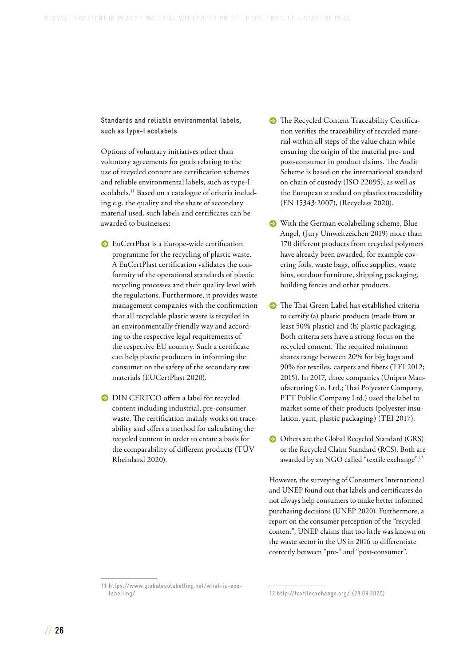**Standards and reliable environmental labels, such as type-I ecolabels** 

Options of voluntary initiatives other than voluntary agreements for goals relating to the use of recycled content are certification schemes and reliable environmental labels, such as type-I ecolabels[.11](#page-28-0) Based on a catalogue of criteria including e.g. the quality and the share of secondary material used, such labels and certificates can be awarded to businesses:

- **ˤ** EuCertPlast is a Europe-wide certification programme for the recycling of plastic waste. A EuCertPlast certification validates the conformity of the operational standards of plastic recycling processes and their quality level with the regulations. Furthermore, it provides waste management companies with the confirmation that all recyclable plastic waste is recycled in an environmentally-friendly way and according to the respective legal requirements of the respective EU country. Such a certificate can help plastic producers in informing the consumer on the safety of the secondary raw materials (EUCertPlast 2020).
- **•** DIN CERTCO offers a label for recycled content including industrial, pre-consumer waste. The certification mainly works on traceability and offers a method for calculating the recycled content in order to create a basis for the comparability of different products (TÜV Rheinland 2020).
- **•** The Recycled Content Traceability Certification verifies the traceability of recycled material within all steps of the value chain while ensuring the origin of the material pre- and post-consumer in product claims. The Audit Scheme is based on the international standard on chain of custody (ISO 22095), as well as the European standard on plastics traceability (EN 15343:2007), (Recyclass 2020).
- **S** With the German ecolabelling scheme, Blue Angel, (Jury Umweltzeichen 2019) more than 170 different products from recycled polymers have already been awarded, for example covering foils, waste bags, office supplies, waste bins, outdoor furniture, shipping packaging, building fences and other products.
- **•** The Thai Green Label has established criteria to certify (a) plastic products (made from at least 50% plastic) and (b) plastic packaging. Both criteria sets have a strong focus on the recycled content. The required minimum shares range between 20% for big bags and 90% for textiles, carpets and fibers (TEI 2012; 2015). In 2017, three companies (Unipro Manufacturing Co. Ltd.; Thai Polyester Company, PTT Public Company Ltd.) used the label to market some of their products (polyester insulation, yarn, plastic packaging) (TEI 2017).
- **•** Others are the Global Recycled Standard (GRS) or the Recycled Claim Standard (RCS). Both are awarded by an NGO called "textile exchange".[12](#page-28-0)

However, the surveying of Consumers International and UNEP found out that labels and certificates do not always help consumers to make better informed purchasing decisions (UNEP 2020). Furthermore, a report on the consumer perception of the "recycled content", UNEP claims that too little was known on the waste sector in the US in 2016 to differentiate correctly between "pre-" and "post-consumer".

<sup>11</sup> [https://www.globalecolabelling.net/what-is-eco](https://www.globalecolabelling.net/what-is-eco-labelling/)[labelling/](https://www.globalecolabelling.net/what-is-eco-labelling/)

<sup>12</sup> <http://textileexchange.org/> (28.09.2020)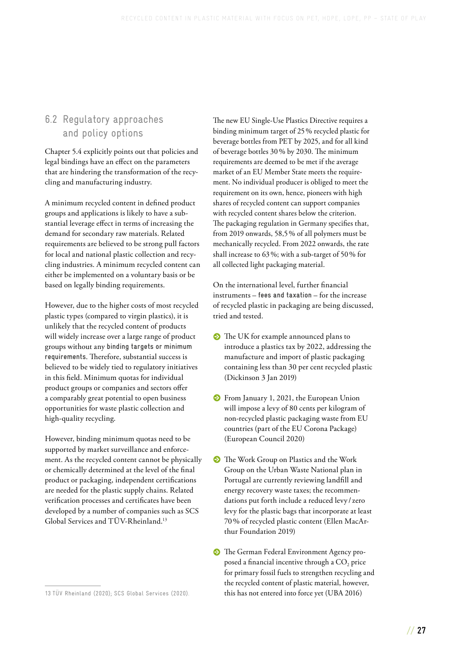### <span id="page-28-0"></span>6.2 Regulatory approaches and policy options

[Chapter 5.4](#page-25-0) explicitly points out that policies and legal bindings have an effect on the parameters that are hindering the transformation of the recycling and manufacturing industry.

A minimum recycled content in defined product groups and applications is likely to have a substantial leverage effect in terms of increasing the demand for secondary raw materials. Related requirements are believed to be strong pull factors for local and national plastic collection and recycling industries. A minimum recycled content can either be implemented on a voluntary basis or be based on legally binding requirements.

However, due to the higher costs of most recycled plastic types (compared to virgin plastics), it is unlikely that the recycled content of products will widely increase over a large range of product groups without any **binding targets or minimum requirements**. Therefore, substantial success is believed to be widely tied to regulatory initiatives in this field. Minimum quotas for individual product groups or companies and sectors offer a comparably great potential to open business opportunities for waste plastic collection and high-quality recycling.

However, binding minimum quotas need to be supported by market surveillance and enforcement. As the recycled content cannot be physically or chemically determined at the level of the final product or packaging, independent certifications are needed for the plastic supply chains. Related verification processes and certificates have been developed by a number of companies such as SCS Global Services and TÜV-Rheinland[.13](#page-29-0)

The new EU Single-Use Plastics Directive requires a binding minimum target of 25 % recycled plastic for beverage bottles from PET by 2025, and for all kind of beverage bottles 30 % by 2030. The minimum requirements are deemed to be met if the average market of an EU Member State meets the requirement. No individual producer is obliged to meet the requirement on its own, hence, pioneers with high shares of recycled content can support companies with recycled content shares below the criterion. The packaging regulation in Germany specifies that, from 2019 onwards, 58,5 % of all polymers must be mechanically recycled. From 2022 onwards, the rate shall increase to 63 %; with a sub-target of 50 % for all collected light packaging material.

On the international level, further financial instruments – **fees and taxation** – for the increase of recycled plastic in packaging are being discussed, tried and tested.

- **•** The UK for example announced plans to introduce a plastics tax by 2022, addressing the manufacture and import of plastic packaging containing less than 30 per cent recycled plastic (Dickinson 3 Jan 2019)
- **S** From January 1, 2021, the European Union will impose a levy of 80 cents per kilogram of non-recycled plastic packaging waste from EU countries (part of the EU Corona Package) (European Council 2020)
- **S** The Work Group on Plastics and the Work Group on the Urban Waste National plan in Portugal are currently reviewing landfill and energy recovery waste taxes; the recommendations put forth include a reduced levy / zero levy for the plastic bags that incorporate at least 70 % of recycled plastic content (Ellen MacArthur Foundation 2019)
- **•** The German Federal Environment Agency proposed a financial incentive through a CO<sub>2</sub> price for primary fossil fuels to strengthen recycling and the recycled content of plastic material, however, this has not entered into force yet (UBA 2016)

<sup>13</sup> TÜV Rheinland (2020); SCS Global Services (2020).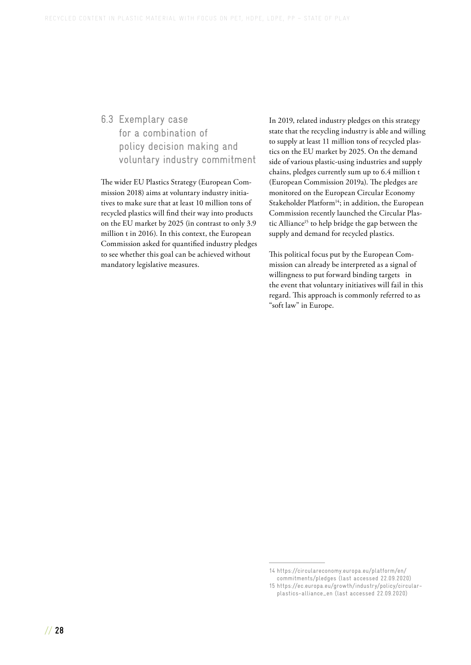## <span id="page-29-0"></span>6.3 Exemplary case for a combination of policy decision making and voluntary industry commitment

The wider EU Plastics Strategy (European Commission 2018) aims at voluntary industry initiatives to make sure that at least 10 million tons of recycled plastics will find their way into products on the EU market by 2025 (in contrast to only 3.9 million t in 2016). In this context, the European Commission asked for quantified industry pledges to see whether this goal can be achieved without mandatory legislative measures.

In 2019, related industry pledges on this strategy state that the recycling industry is able and willing to supply at least 11 million tons of recycled plastics on the EU market by 2025. On the demand side of various plastic-using industries and supply chains, pledges currently sum up to 6.4 million t (European Commission 2019a). The pledges are monitored on the European Circular Economy Stakeholder Platform<sup>14</sup>; in addition, the European Commission recently launched the Circular Plastic Alliance<sup>15</sup> to help bridge the gap between the supply and demand for recycled plastics.

This political focus put by the European Commission can already be interpreted as a signal of willingness to put forward binding targets in the event that voluntary initiatives will fail in this regard. This approach is commonly referred to as "soft law" in Europe.

<sup>14</sup> [https://circulareconomy.europa.eu/platform/en/](https://circulareconomy.europa.eu/platform/en/commitments/pledges) [commitments/pledges](https://circulareconomy.europa.eu/platform/en/commitments/pledges) (last accessed 22.09.2020)

<sup>15</sup> [https://ec.europa.eu/growth/industry/policy/circular](https://ec.europa.eu/growth/industry/policy/circular-plastics-alliance_en)[plastics-alliance\\_en](https://ec.europa.eu/growth/industry/policy/circular-plastics-alliance_en) (last accessed 22.09.2020)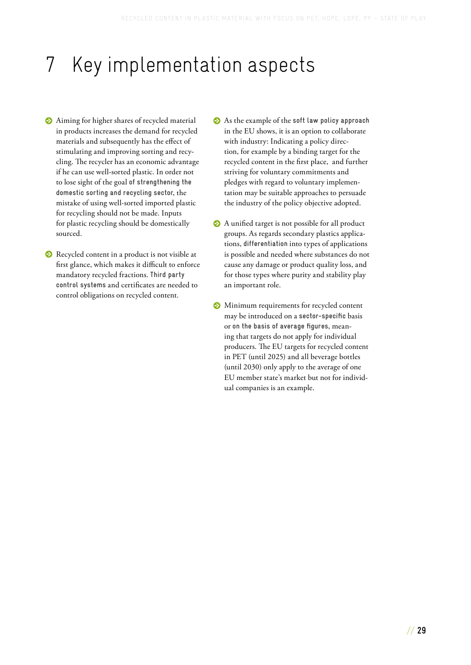# <span id="page-30-0"></span>7 Key implementation aspects

- **•** Aiming for higher shares of recycled material in products increases the demand for recycled materials and subsequently has the effect of stimulating and improving sorting and recycling. The recycler has an economic advantage if he can use well-sorted plastic. In order not to lose sight of the goal **of strengthening the domestic sorting and recycling sector**, the mistake of using well-sorted imported plastic for recycling should not be made. Inputs for plastic recycling should be domestically sourced.
- **•** Recycled content in a product is not visible at first glance, which makes it difficult to enforce mandatory recycled fractions. **Third party control systems** and certificates are needed to control obligations on recycled content.
- **•** As the example of the **soft** law policy approach in the EU shows, it is an option to collaborate with industry: Indicating a policy direction, for example by a binding target for the recycled content in the first place, and further striving for voluntary commitments and pledges with regard to voluntary implementation may be suitable approaches to persuade the industry of the policy objective adopted.
- **•** A unified target is not possible for all product groups. As regards secondary plastics applications, **differentiation** into types of applications is possible and needed where substances do not cause any damage or product quality loss, and for those types where purity and stability play an important role.
- **•** Minimum requirements for recycled content may be introduced on a **sector-specific** basis or **on the basis of average figures**, meaning that targets do not apply for individual producers. The EU targets for recycled content in PET (until 2025) and all beverage bottles (until 2030) only apply to the average of one EU member state's market but not for individual companies is an example.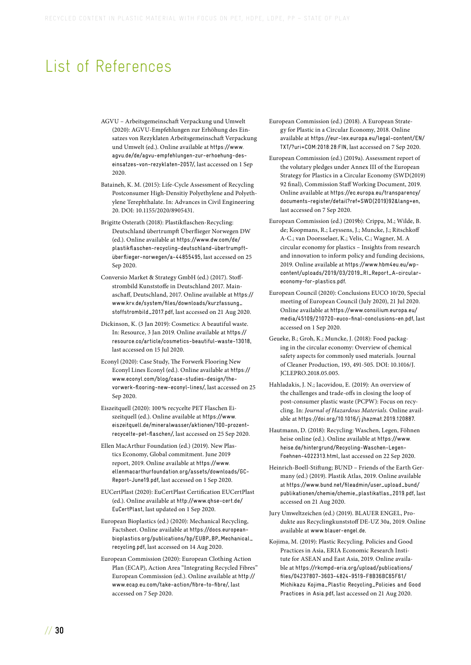## <span id="page-31-0"></span>List of References

- AGVU Arbeitsgemeinschaft Verpackung und Umwelt (2020): AGVU-Empfehlungen zur Erhöhung des Einsatzes von Rezyklaten Arbeitsgemeinschaft Verpackung und Umwelt (ed.). Online available at [https://www.](https://www.agvu.de/de/agvu-empfehlungen-zur-erhoehung-des-einsatzes-von-rezyklaten-2057/) [agvu.de/de/agvu-empfehlungen-zur-erhoehung-des](https://www.agvu.de/de/agvu-empfehlungen-zur-erhoehung-des-einsatzes-von-rezyklaten-2057/)[einsatzes-von-rezyklaten-2057/](https://www.agvu.de/de/agvu-empfehlungen-zur-erhoehung-des-einsatzes-von-rezyklaten-2057/), last accessed on 1 Sep 2020.
- Bataineh, K. M. (2015): Life-Cycle Assessment of Recycling Postconsumer High-Densitiy Polyethylene and Polyethylene Terephthalate. In: Advances in Civil Engineering 20. DOI: 10.1155/2020/8905431.
- Brigitte Osterath (2018): Plastikflaschen-Recycling: Deutschland übertrumpft Überflieger Norwegen DW (ed.). Online available at [https://www.dw.com/de/](https://www.dw.com/de/plastikflaschen-recycling-deutschland-übertrumpft-überflieger-norwegen/a-44855495) [plastikflaschen-recycling-deutschland-übertrumpft](https://www.dw.com/de/plastikflaschen-recycling-deutschland-übertrumpft-überflieger-norwegen/a-44855495)[überflieger-norwegen/a-44855495](https://www.dw.com/de/plastikflaschen-recycling-deutschland-übertrumpft-überflieger-norwegen/a-44855495), last accessed on 25 Sep 2020.
- Conversio Market & Strategy GmbH (ed.) (2017). Stoffstrombild Kunststoffe in Deutschland 2017. Mainaschaff, Deutschland, 2017. Online available at https:// [www.krv.de/system/files/downloads/kurzfassung\\_](https://www.krv.de/system/files/downloads/kurzfassung_stoffstrombild_2017.pdf) stoffstrombild\_2017.pdf, last accessed on 21 Aug 2020.
- Dickinson, K. (3 Jan 2019): Cosmetics: A beautiful waste. In: Resource, 3 Jan 2019. Online available at [https://](https://resource.co/article/cosmetics-beautiful-waste-13018) [resource.co/article/cosmetics-beautiful-waste-13018](https://resource.co/article/cosmetics-beautiful-waste-13018), last accessed on 15 Jul 2020.
- Econyl (2020): Case Study, The Forwerk Flooring New Econyl Lines Econyl (ed.). Online available at [https://](https://www.econyl.com/blog/case-studies-design/the-vorwerk-flooring-new-econyl-lines/) [www.econyl.com/blog/case-studies-design/the](https://www.econyl.com/blog/case-studies-design/the-vorwerk-flooring-new-econyl-lines/)[vorwerk-flooring-new-econyl-lines/](https://www.econyl.com/blog/case-studies-design/the-vorwerk-flooring-new-econyl-lines/), last accessed on 25 Sep 2020.
- Eiszeitquell (2020): 100 % recycelte PET Flaschen Eiszeitquell (ed.). Online available at [https://www.](https://www.eiszeitquell.de/mineralwasser/aktionen/100-prozent-recycelte-pet-flaschen/) [eiszeitquell.de/mineralwasser/aktionen/100-prozent](https://www.eiszeitquell.de/mineralwasser/aktionen/100-prozent-recycelte-pet-flaschen/)[recycelte-pet-flaschen/](https://www.eiszeitquell.de/mineralwasser/aktionen/100-prozent-recycelte-pet-flaschen/), last accessed on 25 Sep 2020.
- Ellen MacArthur Foundation (ed.) (2019). New Plastics Economy, Global commitment. June 2019 report, 2019. Online available at [https://www.](https://www.ellenmacarthurfoundation.org/assets/downloads/GC-Report-June19.pdf) [ellenmacarthurfoundation.org/assets/downloads/GC-](https://www.ellenmacarthurfoundation.org/assets/downloads/GC-Report-June19.pdf)[Report-June19.pdf](https://www.ellenmacarthurfoundation.org/assets/downloads/GC-Report-June19.pdf), last accessed on 1 Sep 2020.
- EUCertPlast (2020): EuCertPlast Certification EUCertPlast (ed.). Online available at [http://www.qhse-cert.de/](http://www.qhse-cert.de/EuCertPlast) [EuCertPlast](http://www.qhse-cert.de/EuCertPlast), last updated on 1 Sep 2020.
- European Bioplastics (ed.) (2020): Mechanical Recycling, Factsheet. Online available at [https://docs.european](https://docs.european-bioplastics.org/publications/bp/EUBP_BP_Mechanical_recycling.pdf)[bioplastics.org/publications/bp/EUBP\\_BP\\_Mechanical\\_](https://docs.european-bioplastics.org/publications/bp/EUBP_BP_Mechanical_recycling.pdf) [recycling.pdf](https://docs.european-bioplastics.org/publications/bp/EUBP_BP_Mechanical_recycling.pdf), last accessed on 14 Aug 2020.
- European Commission (2020): European Clothing Action Plan (ECAP), Action Area "Integrating Recycled Fibres" European Commission (ed.). Online available at [http://](http://www.ecap.eu.com/take-action/fibre-to-fibre/) [www.ecap.eu.com/take-action/fibre-to-fibre/](http://www.ecap.eu.com/take-action/fibre-to-fibre/), last accessed on 7 Sep 2020.
- European Commission (ed.) (2018). A European Strategy for Plastic in a Circular Economy, 2018. Online available at [https://eur-lex.europa.eu/legal-content/EN/](https://eur-lex.europa.eu/legal-content/EN/TXT/?uri=COM:2018:28:FIN) [TXT/?uri=COM:2018:28:FIN](https://eur-lex.europa.eu/legal-content/EN/TXT/?uri=COM:2018:28:FIN), last accessed on 7 Sep 2020.
- European Commission (ed.) (2019a). Assessment report of the volutary pledges under Annex III of the European Strategy for Plastics in a Circular Economy (SWD(2019) 92 final), Commission Staff Working Document, 2019. Online available at [https://ec.europa.eu/transparency/](https://ec.europa.eu/transparency/documents-register/detail?ref=SWD(2019)92&lang=en) [documents-register/detail?ref=SWD\(2019\)92&lang=en](https://ec.europa.eu/transparency/documents-register/detail?ref=SWD(2019)92&lang=en), last accessed on 7 Sep 2020.
- European Commission (ed.) (2019b): Crippa, M.; Wilde, B. de; Koopmans, R.; Leyssens, J.; Muncke, J.; Ritschkoff A-C.; van Doorsselaer, K.; Velis, C.; Wagner, M. A circular economy for plastics – Insights from research and innovation to inform policy and funding decisions, 2019. Online available at [https://www.hbm4eu.eu/wp](https://www.hbm4eu.eu/wp-content/uploads/2019/03/2019_RI_Report_A-circular-economy-for-plastics.pdf)[content/uploads/2019/03/2019\\_RI\\_Report\\_A-circular](https://www.hbm4eu.eu/wp-content/uploads/2019/03/2019_RI_Report_A-circular-economy-for-plastics.pdf)[economy-for-plastics.pdf](https://www.hbm4eu.eu/wp-content/uploads/2019/03/2019_RI_Report_A-circular-economy-for-plastics.pdf).
- European Council (2020): Conclusions EUCO 10/20, Special meeting of European Council (July 2020), 21 Jul 2020. Online available at [https://www.consilium.europa.eu/](https://www.consilium.europa.eu/media/45109/210720-euco-final-conclusions-en.pdf) [media/45109/210720-euco-final-conclusions-en.pdf](https://www.consilium.europa.eu/media/45109/210720-euco-final-conclusions-en.pdf), last accessed on 1 Sep 2020.
- Geueke, B.; Groh, K.; Muncke, J. (2018): Food packaging in the circular economy: Overview of chemical safety aspects for commonly used materials. Journal of Cleaner Production, 193, 491-505. DOI: 10.1016/J. JCLEPRO.2018.05.005.
- Hahladakis, J. N.; Iacovidou, E. (2019): An overview of the challenges and trade-offs in closing the loop of post-consumer plastic waste (PCPW): Focus on recycling. In: *Journal of Hazardous Materials.* Online available at <https://doi.org/10.1016/j.jhazmat.2019.120887>.
- Hautmann, D. (2018): Recycling: Waschen, Legen, Föhnen heise online (ed.). Online available at [https://www.](https://www.heise.de/hintergrund/Recycling-Waschen-Legen-Foehnen-4022313.html) [heise.de/hintergrund/Recycling-Waschen-Legen-](https://www.heise.de/hintergrund/Recycling-Waschen-Legen-Foehnen-4022313.html)[Foehnen-4022313.html](https://www.heise.de/hintergrund/Recycling-Waschen-Legen-Foehnen-4022313.html), last accessed on 22 Sep 2020.
- Heinrich-Boell-Stiftung; BUND Friends of the Earth Germany (ed.) (2019). Plastik Atlas, 2019. Online available at [https://www.bund.net/fileadmin/user\\_upload\\_bund/](https://www.bund.net/fileadmin/user_upload_bund/publikationen/chemie/chemie_plastikatlas_2019.pdf) [publikationen/chemie/chemie\\_plastikatlas\\_2019.pdf](https://www.bund.net/fileadmin/user_upload_bund/publikationen/chemie/chemie_plastikatlas_2019.pdf), last accessed on 21 Aug 2020.
- Jury Umweltzeichen (ed.) (2019). BLAUER ENGEL, Produkte aus Recyclingkunststoff DE-UZ 30a, 2019. Online available at [www.blauer-engel.de](http://www.blauer-engel.de).
- Kojima, M. (2019): Plastic Recycling. Policies and Good Practices in Asia, ERIA Economic Research Institute for ASEAN and East Asia, 2019. Online available at [https://rkcmpd-eria.org/upload/publications/](https://rkcmpd-eria.org/upload/publications/files/04237807-3603-4824-9519-F8B36BC65F61/Michikazu%20Kojima_Plastic%20Recycling_Policies%20and%20Good%20Practices%20in%20Asia.pdf) [files/04237807-3603-4824-9519-F8B36BC65F61/](https://rkcmpd-eria.org/upload/publications/files/04237807-3603-4824-9519-F8B36BC65F61/Michikazu%20Kojima_Plastic%20Recycling_Policies%20and%20Good%20Practices%20in%20Asia.pdf) [Michikazu Kojima\\_Plastic Recycling\\_Policies and Good](https://rkcmpd-eria.org/upload/publications/files/04237807-3603-4824-9519-F8B36BC65F61/Michikazu%20Kojima_Plastic%20Recycling_Policies%20and%20Good%20Practices%20in%20Asia.pdf)  [Practices in Asia.pdf](https://rkcmpd-eria.org/upload/publications/files/04237807-3603-4824-9519-F8B36BC65F61/Michikazu%20Kojima_Plastic%20Recycling_Policies%20and%20Good%20Practices%20in%20Asia.pdf), last accessed on 21 Aug 2020.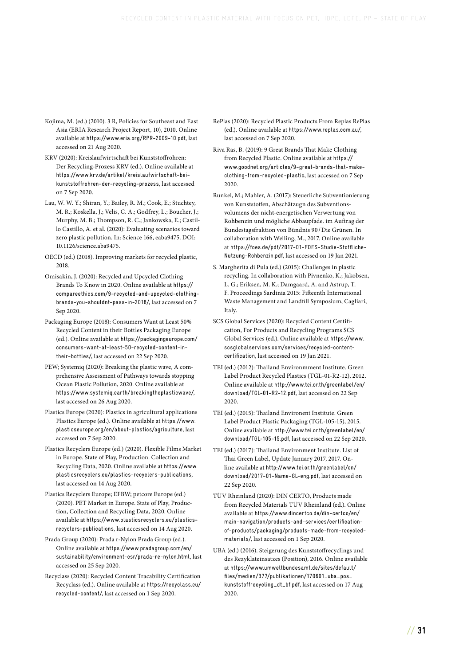- Kojima, M. (ed.) (2010). 3 R, Policies for Southeast and East Asia (ERIA Research Project Report, 10), 2010. Online available at <https://www.eria.org/RPR-2009-10.pdf>, last accessed on 21 Aug 2020.
- KRV (2020): Kreislaufwirtschaft bei Kunststoffrohren: Der Recycling-Prozess KRV (ed.). Online available at [https://www.krv.de/artikel/kreislaufwirtschaft-bei](https://www.krv.de/artikel/kreislaufwirtschaft-bei-kunststoffrohren-der-recycling-prozess)[kunststoffrohren-der-recycling-prozess](https://www.krv.de/artikel/kreislaufwirtschaft-bei-kunststoffrohren-der-recycling-prozess), last accessed on 7 Sep 2020.
- Lau, W. W. Y.; Shiran, Y.; Bailey, R. M.; Cook, E.; Stuchtey, M. R.; Koskella, J.; Velis, C. A.; Godfrey, L.; Boucher, J.; Murphy, M. B.; Thompson, R. C.; Jankowska, E.; Castillo Castillo, A. et al. (2020): Evaluating scenarios toward zero plastic pollution. In: Science 166, eaba9475. DOI: 10.1126/science.aba9475.
- OECD (ed.) (2018). Improving markets for recycled plastic, 2018.
- Omisakin, J. (2020): Recycled and Upcycled Clothing Brands To Know in 2020. Online available at [https://](https://compareethics.com/9-recycled-and-upcycled-clothing-brands-you-shouldnt-pass-in-2018/) [compareethics.com/9-recycled-and-upcycled-clothing](https://compareethics.com/9-recycled-and-upcycled-clothing-brands-you-shouldnt-pass-in-2018/)[brands-you-shouldnt-pass-in-2018/](https://compareethics.com/9-recycled-and-upcycled-clothing-brands-you-shouldnt-pass-in-2018/), last accessed on 7 Sep 2020.
- Packaging Europe (2018): Consumers Want at Least 50% Recycled Content in their Bottles Packaging Europe (ed.). Online available at [https://packagingeurope.com/](https://packagingeurope.com/consumers-want-at-least-50-recycled-content-in-their-bottles/) [consumers-want-at-least-50-recycled-content-in](https://packagingeurope.com/consumers-want-at-least-50-recycled-content-in-their-bottles/)[their-bottles/](https://packagingeurope.com/consumers-want-at-least-50-recycled-content-in-their-bottles/), last accessed on 22 Sep 2020.
- PEW; Systemiq (2020): Breaking the plastic wave, A comprehensive Assessment of Pathways towards stopping Ocean Plastic Pollution, 2020. Online available at <https://www.systemiq.earth/breakingtheplasticwave/>, last accessed on 26 Aug 2020.
- Plastics Europe (2020): Plastics in agricultural applications Plastics Europe (ed.). Online available at [https://www.](https://www.plasticseurope.org/en/about-plastics/agriculture) [plasticseurope.org/en/about-plastics/agriculture](https://www.plasticseurope.org/en/about-plastics/agriculture), last accessed on 7 Sep 2020.
- Plastics Recyclers Europe (ed.) (2020). Flexible Films Market in Europe. State of Play, Production. Collection and Recycling Data, 2020. Online available at [https://www.](https://www.plasticsrecyclers.eu/plastics-recyclers-publications) [plasticsrecyclers.eu/plastics-recyclers-publications](https://www.plasticsrecyclers.eu/plastics-recyclers-publications), last accessed on 14 Aug 2020.
- Plastics Recyclers Europe; EFBW; petcore Europe (ed.) (2020). PET Market in Europe. State of Play, Production, Collection and Recycling Data, 2020. Online available at [https://www.plasticsrecyclers.eu/plastics](https://www.plasticsrecyclers.eu/plastics-recyclers-publications)[recyclers-publications](https://www.plasticsrecyclers.eu/plastics-recyclers-publications), last accessed on 14 Aug 2020.
- Prada Group (2020): Prada r-Nylon Prada Group (ed.). Online available at [https://www.pradagroup.com/en/](https://www.pradagroup.com/en/sustainability/environment-csr/prada-re-nylon.html) [sustainability/environment-csr/prada-re-nylon.html](https://www.pradagroup.com/en/sustainability/environment-csr/prada-re-nylon.html), last accessed on 25 Sep 2020.
- Recyclass (2020): Recycled Content Tracability Certification Recyclass (ed.). Online available at [https://recyclass.eu/](https://recyclass.eu/recycled-content/) [recycled-content/](https://recyclass.eu/recycled-content/), last accessed on 1 Sep 2020.
- RePlas (2020): Recycled Plastic Products From Replas RePlas (ed.). Online available at <https://www.replas.com.au/>, last accessed on 7 Sep 2020.
- Riva Ras, B. (2019): 9 Great Brands That Make Clothing from Recycled Plastic. Online available at [https://](https://www.goodnet.org/articles/9-great-brands-that-make-clothing-from-recycled-plastic) [www.goodnet.org/articles/9-great-brands-that-make](https://www.goodnet.org/articles/9-great-brands-that-make-clothing-from-recycled-plastic)[clothing-from-recycled-plastic](https://www.goodnet.org/articles/9-great-brands-that-make-clothing-from-recycled-plastic), last accessed on 7 Sep 2020.
- Runkel, M.; Mahler, A. (2017): Steuerliche Subventionierung von Kunststoffen, Abschätzugn des Subventionsvolumens der nicht-energetischen Verwertung von Rohbenzin und mögliche Abbaupfade. im Auftrag der Bundestagsfraktion von Bündnis 90 / Die Grünen. In collaboration with Welling, M., 2017. Online available at [https://foes.de/pdf/2017-01-FOES-Studie-Stoffliche-](https://foes.de/pdf/2017-01-FOES-Studie-Stoffliche-Nutzung-Rohbenzin.pdf)[Nutzung-Rohbenzin.pdf](https://foes.de/pdf/2017-01-FOES-Studie-Stoffliche-Nutzung-Rohbenzin.pdf), last accessed on 19 Jan 2021.
- S. Margherita di Pula (ed.) (2015): Challenges in plastic recycling. In collaboration with Pivnenko, K.; Jakobsen, L. G.; Eriksen, M. K.; Damgaard, A. and Astrup, T. F. Proceedings Sardinia 2015: Fifteenth International Waste Management and Landfill Symposium, Cagliari, Italy.
- SCS Global Services (2020): Recycled Content Certification, For Products and Recycling Programs SCS Global Services (ed.). Online available at [https://www.](https://www.scsglobalservices.com/services/recycled-content-certification) [scsglobalservices.com/services/recycled-content](https://www.scsglobalservices.com/services/recycled-content-certification)[certification](https://www.scsglobalservices.com/services/recycled-content-certification), last accessed on 19 Jan 2021.
- TEI (ed.) (2012): Thailand Environmment Institute. Green Label Product Recycled Plastics (TGL-01-R2-12), 2012. Online available at [http://www.tei.or.th/greenlabel/en/](http://www.tei.or.th/greenlabel/en/download/TGL-01-R2-12.pdf) [download/TGL-01-R2-12.pdf](http://www.tei.or.th/greenlabel/en/download/TGL-01-R2-12.pdf), last accessed on 22 Sep 2020.
- TEI (ed.) (2015): Thailand Environent Institute. Green Label Product Plastic Packaging (TGL-105-15), 2015. Online available at [http://www.tei.or.th/greenlabel/en/](http://www.tei.or.th/greenlabel/en/download/TGL-105-15.pdf) [download/TGL-105-15.pdf](http://www.tei.or.th/greenlabel/en/download/TGL-105-15.pdf), last accessed on 22 Sep 2020.
- TEI (ed.) (2017): Thailand Environment Institute. List of Thai Green Label, Update January 2017, 2017. Online available at [http://www.tei.or.th/greenlabel/en/](http://www.tei.or.th/greenlabel/en/download/2017-01-Name-GL-eng.pdf) [download/2017-01-Name-GL-eng.pdf](http://www.tei.or.th/greenlabel/en/download/2017-01-Name-GL-eng.pdf), last accessed on 22 Sep 2020.
- TÜV Rheinland (2020): DIN CERTO, Products made from Recycled Materials TÜV Rheinland (ed.). Online available at [https://www.dincertco.de/din-certco/en/](https://www.dincertco.de/din-certco/en/main-navigation/products-and-services/certification-of-products/packaging/products-made-from-recycled-materials/) [main-navigation/products-and-services/certification](https://www.dincertco.de/din-certco/en/main-navigation/products-and-services/certification-of-products/packaging/products-made-from-recycled-materials/)[of-products/packaging/products-made-from-recycled](https://www.dincertco.de/din-certco/en/main-navigation/products-and-services/certification-of-products/packaging/products-made-from-recycled-materials/)[materials/](https://www.dincertco.de/din-certco/en/main-navigation/products-and-services/certification-of-products/packaging/products-made-from-recycled-materials/), last accessed on 1 Sep 2020.
- UBA (ed.) (2016). Steigerung des Kunststoffrecyclings und des Rezyklateinsatzes (Position), 2016. Online available at [https://www.umweltbundesamt.de/sites/default/](https://www.umweltbundesamt.de/sites/default/files/medien/377/publikationen/170601_uba_pos_kunststoffrecycling_dt_bf.pdf) [files/medien/377/publikationen/170601\\_uba\\_pos\\_](https://www.umweltbundesamt.de/sites/default/files/medien/377/publikationen/170601_uba_pos_kunststoffrecycling_dt_bf.pdf) [kunststoffrecycling\\_dt\\_bf.pdf](https://www.umweltbundesamt.de/sites/default/files/medien/377/publikationen/170601_uba_pos_kunststoffrecycling_dt_bf.pdf), last accessed on 17 Aug 2020.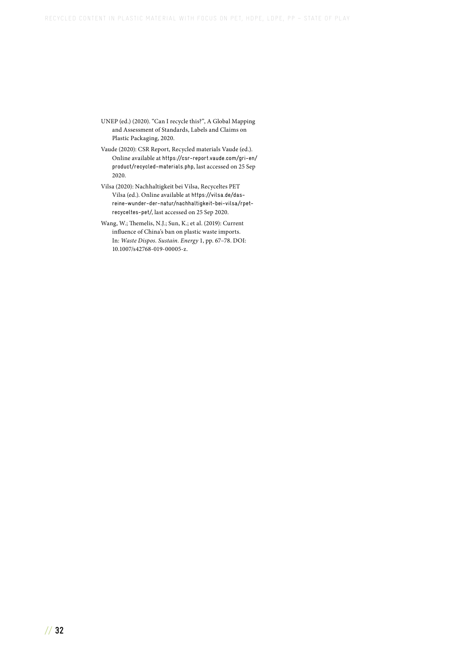- UNEP (ed.) (2020). "Can I recycle this?", A Global Mapping and Assessment of Standards, Labels and Claims on Plastic Packaging, 2020.
- Vaude (2020): CSR Report, Recycled materials Vaude (ed.). Online available at [https://csr-report.vaude.com/gri-en/](https://csr-report.vaude.com/gri-en/product/recycled-materials.php) [product/recycled-materials.php](https://csr-report.vaude.com/gri-en/product/recycled-materials.php), last accessed on 25 Sep 2020.
- Vilsa (2020): Nachhaltigkeit bei Vilsa, Recyceltes PET Vilsa (ed.). Online available at [https://vilsa.de/das](https://vilsa.de/das-reine-wunder-der-natur/nachhaltigkeit-bei-vilsa/rpet-recyceltes-pet/)[reine-wunder-der-natur/nachhaltigkeit-bei-vilsa/rpet](https://vilsa.de/das-reine-wunder-der-natur/nachhaltigkeit-bei-vilsa/rpet-recyceltes-pet/)[recyceltes-pet/](https://vilsa.de/das-reine-wunder-der-natur/nachhaltigkeit-bei-vilsa/rpet-recyceltes-pet/), last accessed on 25 Sep 2020.
- Wang, W.; Themelis, N.J.; Sun, K.; et al. (2019): Current influence of China's ban on plastic waste imports. In: *Waste Dispos. Sustain. Energy* 1, pp. 67–78. DOI: 10.1007/s42768-019-00005-z.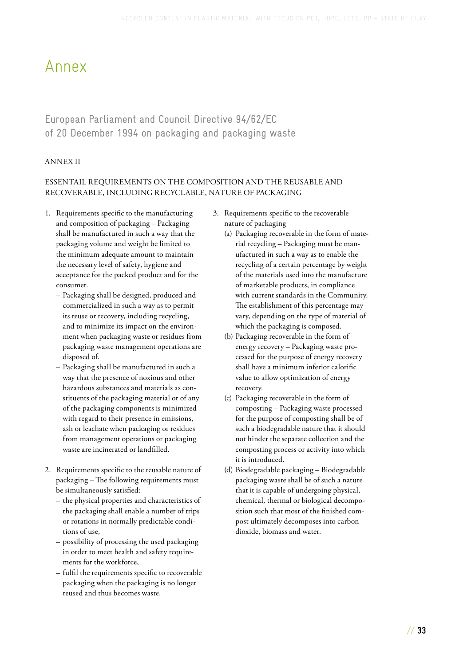## <span id="page-34-0"></span>Annex

## European Parliament and Council Directive 94/62/EC of 20 December 1994 on packaging and packaging waste

### ANNEX II

### ESSENTAIL REQUIREMENTS ON THE COMPOSITION AND THE REUSABLE AND RECOVERABLE, INCLUDING RECYCLABLE, NATURE OF PACKAGING

- 1. Requirements specific to the manufacturing and composition of packaging – Packaging shall be manufactured in such a way that the packaging volume and weight be limited to the minimum adequate amount to maintain the necessary level of safety, hygiene and acceptance for the packed product and for the consumer.
	- Packaging shall be designed, produced and commercialized in such a way as to permit its reuse or recovery, including recycling, and to minimize its impact on the environment when packaging waste or residues from packaging waste management operations are disposed of.
	- Packaging shall be manufactured in such a way that the presence of noxious and other hazardous substances and materials as constituents of the packaging material or of any of the packaging components is minimized with regard to their presence in emissions, ash or leachate when packaging or residues from management operations or packaging waste are incinerated or landfilled.
- 2. Requirements specific to the reusable nature of packaging – The following requirements must be simultaneously satisfied:
	- the physical properties and characteristics of the packaging shall enable a number of trips or rotations in normally predictable conditions of use,
	- possibility of processing the used packaging in order to meet health and safety requirements for the workforce,
	- fulfil the requirements specific to recoverable packaging when the packaging is no longer reused and thus becomes waste.
- 3. Requirements specific to the recoverable nature of packaging
	- (a) Packaging recoverable in the form of material recycling – Packaging must be manufactured in such a way as to enable the recycling of a certain percentage by weight of the materials used into the manufacture of marketable products, in compliance with current standards in the Community. The establishment of this percentage may vary, depending on the type of material of which the packaging is composed.
	- (b) Packaging recoverable in the form of energy recovery – Packaging waste processed for the purpose of energy recovery shall have a minimum inferior calorific value to allow optimization of energy recovery.
	- (c) Packaging recoverable in the form of composting – Packaging waste processed for the purpose of composting shall be of such a biodegradable nature that it should not hinder the separate collection and the composting process or activity into which it is introduced.
	- (d) Biodegradable packaging Biodegradable packaging waste shall be of such a nature that it is capable of undergoing physical, chemical, thermal or biological decomposition such that most of the finished compost ultimately decomposes into carbon dioxide, biomass and water.